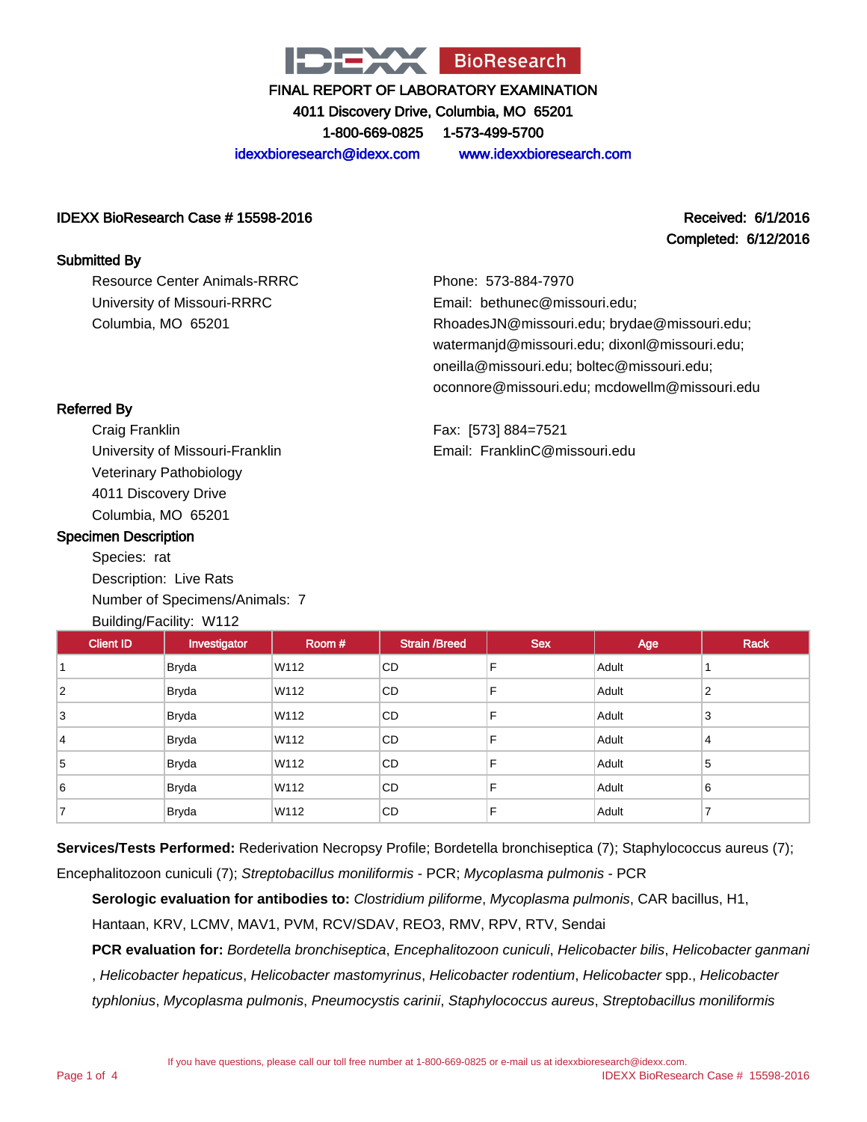

4011 Discovery Drive, Columbia, MO 65201

1-800-669-0825 1-573-499-5700

idexxbioresearch@idexx.com www.idexxbioresearch.com

#### IDEXX BioResearch Case # 15598-2016 Received: 6/1/2016

## Completed: 6/12/2016

Resource Center Animals-RRRC University of Missouri-RRRC Columbia, MO 65201

Phone: 573-884-7970 Email: bethunec@missouri.edu; RhoadesJN@missouri.edu; brydae@missouri.edu; watermanjd@missouri.edu; dixonl@missouri.edu; oneilla@missouri.edu; boltec@missouri.edu; oconnore@missouri.edu; mcdowellm@missouri.edu

Fax: [573] 884=7521 Email: FranklinC@missouri.edu

## Referred By

Submitted By

Craig Franklin University of Missouri-Franklin Veterinary Pathobiology 4011 Discovery Drive Columbia, MO 65201

#### Specimen Description

Species: rat Description: Live Rats Number of Specimens/Animals: 7 Building/Facility: W112

| <b>Client ID</b> | Investigator | Room # | <b>Strain /Breed</b> | <b>Sex</b> | Age   | <b>Rack</b> |
|------------------|--------------|--------|----------------------|------------|-------|-------------|
|                  | <b>Bryda</b> | W112   | CD                   | F          | Adult |             |
| $\overline{2}$   | <b>Bryda</b> | W112   | CD                   | F          | Adult | 2           |
| 3                | <b>Bryda</b> | W112   | CD                   | F          | Adult | 3           |
| 14               | <b>Bryda</b> | W112   | <b>CD</b>            | F          | Adult | 4           |
| 5                | <b>Bryda</b> | W112   | CD                   | F          | Adult | 5           |
| 6                | <b>Bryda</b> | W112   | CD                   | F          | Adult | 6           |
| ⇁                | <b>Bryda</b> | W112   | CD                   | F          | Adult | ⇁           |

**Services/Tests Performed:** Rederivation Necropsy Profile; Bordetella bronchiseptica (7); Staphylococcus aureus (7); Encephalitozoon cuniculi (7); Streptobacillus moniliformis - PCR; Mycoplasma pulmonis - PCR

**Serologic evaluation for antibodies to:** Clostridium piliforme, Mycoplasma pulmonis, CAR bacillus, H1,

Hantaan, KRV, LCMV, MAV1, PVM, RCV/SDAV, REO3, RMV, RPV, RTV, Sendai

**PCR evaluation for:** Bordetella bronchiseptica, Encephalitozoon cuniculi, Helicobacter bilis, Helicobacter ganmani , Helicobacter hepaticus, Helicobacter mastomyrinus, Helicobacter rodentium, Helicobacter spp., Helicobacter typhlonius, Mycoplasma pulmonis, Pneumocystis carinii, Staphylococcus aureus, Streptobacillus moniliformis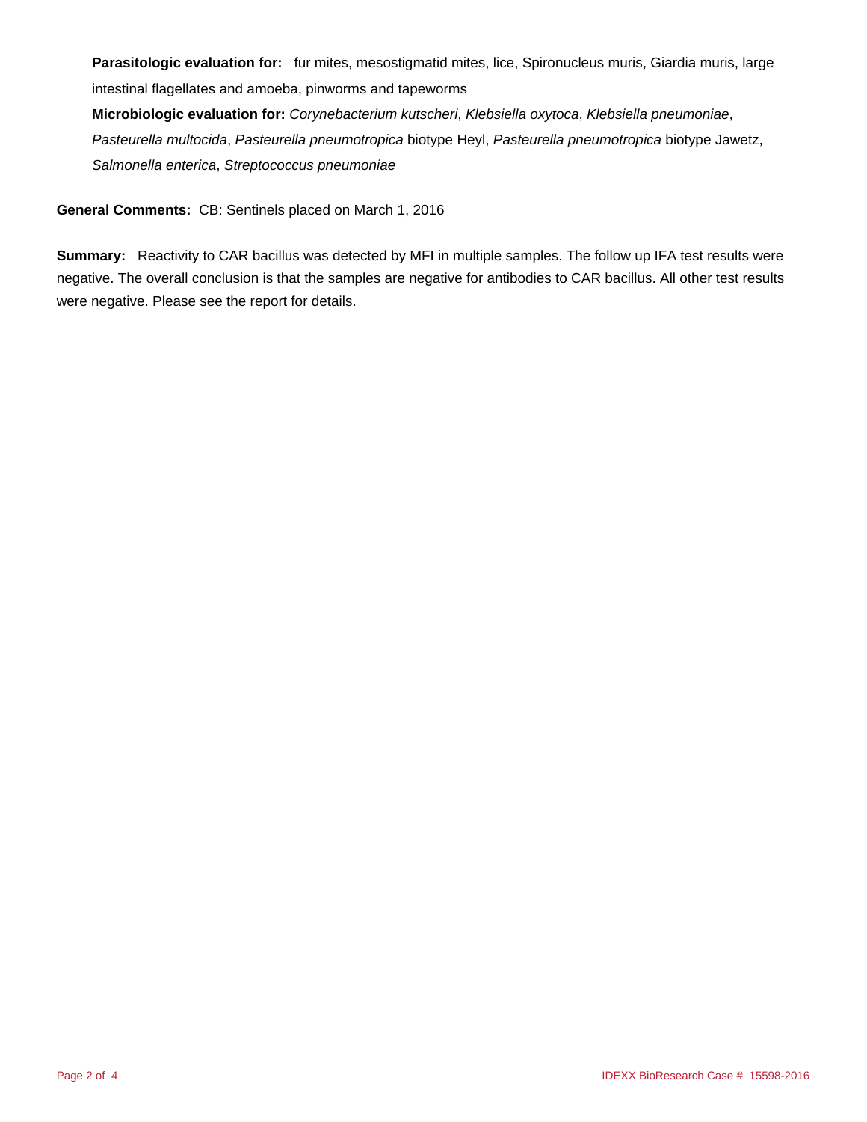**Parasitologic evaluation for:** fur mites, mesostigmatid mites, lice, Spironucleus muris, Giardia muris, large intestinal flagellates and amoeba, pinworms and tapeworms

**Microbiologic evaluation for:** Corynebacterium kutscheri, Klebsiella oxytoca, Klebsiella pneumoniae, Pasteurella multocida, Pasteurella pneumotropica biotype Heyl, Pasteurella pneumotropica biotype Jawetz, Salmonella enterica, Streptococcus pneumoniae

**General Comments:** CB: Sentinels placed on March 1, 2016

**Summary:** Reactivity to CAR bacillus was detected by MFI in multiple samples. The follow up IFA test results were negative. The overall conclusion is that the samples are negative for antibodies to CAR bacillus. All other test results were negative. Please see the report for details.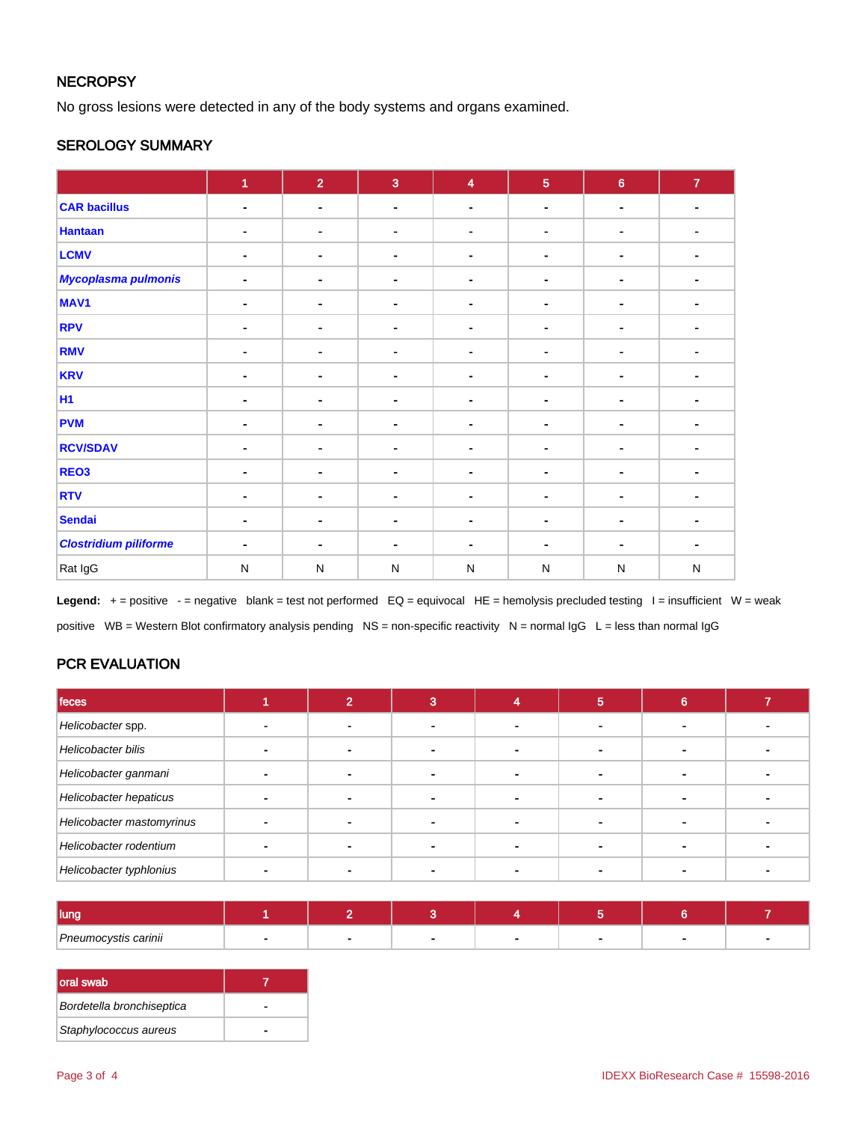## **NECROPSY**

No gross lesions were detected in any of the body systems and organs examined.

## SEROLOGY SUMMARY

|                              | $\overline{1}$ | $\overline{2}$               | $\overline{3}$ | $\overline{\mathbf{4}}$ | $\overline{5}$ | $\bf 6$                  | $\mathbf{7}$   |
|------------------------------|----------------|------------------------------|----------------|-------------------------|----------------|--------------------------|----------------|
| <b>CAR bacillus</b>          | $\blacksquare$ | $\blacksquare$               | $\blacksquare$ | $\blacksquare$          | ۰              | $\blacksquare$           | $\blacksquare$ |
| <b>Hantaan</b>               | ۰              | ۰                            | $\blacksquare$ | ٠                       | ۰              | ۰                        |                |
| <b>LCMV</b>                  | ٠              | $\blacksquare$               | $\blacksquare$ |                         | $\blacksquare$ | ۰                        |                |
| Mycoplasma pulmonis          | $\blacksquare$ | $\blacksquare$               | $\blacksquare$ |                         | $\blacksquare$ | ۰                        |                |
| MAV <sub>1</sub>             | ٠              | $\blacksquare$               | $\blacksquare$ |                         | ۰              | ۰                        |                |
| <b>RPV</b>                   | $\blacksquare$ | -                            | $\blacksquare$ | $\blacksquare$          |                | $\overline{\phantom{a}}$ | ٠              |
| <b>RMV</b>                   | ۰              | $\blacksquare$               | $\blacksquare$ |                         | ٠              |                          |                |
| <b>KRV</b>                   | $\blacksquare$ | $\blacksquare$               | $\blacksquare$ |                         | ۰              | ٠                        |                |
| <b>H1</b>                    |                | $\qquad \qquad \blacksquare$ | $\blacksquare$ |                         | $\blacksquare$ | $\blacksquare$           |                |
| <b>PVM</b>                   | $\blacksquare$ | $\blacksquare$               | $\blacksquare$ |                         | ٠              |                          |                |
| <b>RCV/SDAV</b>              | ٠              | ۰                            | $\blacksquare$ | $\blacksquare$          | ۰              | ٠                        | ٠              |
| REO <sub>3</sub>             | ٠              | $\blacksquare$               | $\sim$         | ٠                       | $\blacksquare$ | ٠                        |                |
| <b>RTV</b>                   | $\blacksquare$ | $\blacksquare$               | $\blacksquare$ |                         | $\blacksquare$ | ٠                        |                |
| <b>Sendai</b>                | $\blacksquare$ | $\blacksquare$               | ۰              |                         | ۰.             | $\blacksquare$           |                |
| <b>Clostridium piliforme</b> | ٠              | $\blacksquare$               | $\blacksquare$ |                         | $\blacksquare$ |                          |                |
| Rat IgG                      | $\mathsf{N}$   | ${\sf N}$                    | $\mathsf{N}$   | N                       | ${\sf N}$      | ${\sf N}$                | $\mathsf{N}$   |

Legend: + = positive - = negative blank = test not performed EQ = equivocal HE = hemolysis precluded testing I = insufficient W = weak positive WB = Western Blot confirmatory analysis pending NS = non-specific reactivity N = normal IgG L = less than normal IgG

## PCR EVALUATION

| feces                     |  |  | Ð |  |
|---------------------------|--|--|---|--|
| Helicobacter spp.         |  |  |   |  |
| Helicobacter bilis        |  |  |   |  |
| Helicobacter ganmani      |  |  |   |  |
| Helicobacter hepaticus    |  |  |   |  |
| Helicobacter mastomyrinus |  |  |   |  |
| Helicobacter rodentium    |  |  |   |  |
| Helicobacter typhlonius   |  |  |   |  |

| lung                 |  |  |  |  |
|----------------------|--|--|--|--|
| Pneumocystis carinii |  |  |  |  |

| Ioral swab                |  |
|---------------------------|--|
| Bordetella bronchiseptica |  |
| Staphylococcus aureus     |  |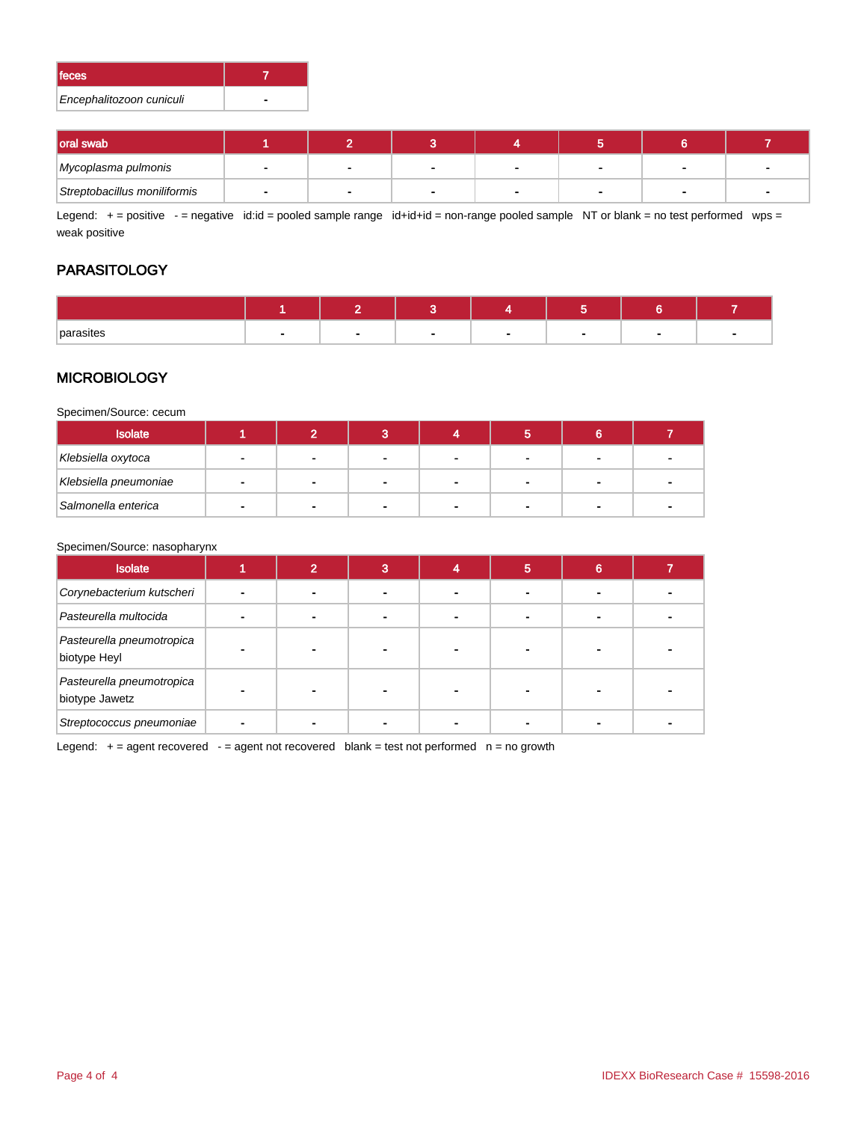| lfeces.                  |  |
|--------------------------|--|
| Encephalitozoon cuniculi |  |

| <b>loral swab</b>            |  |  |  |  |
|------------------------------|--|--|--|--|
| Mycoplasma pulmonis          |  |  |  |  |
| Streptobacillus moniliformis |  |  |  |  |

Legend:  $+=$  positive  $-$  = negative id:id = pooled sample range id+id+id = non-range pooled sample NT or blank = no test performed wps = weak positive

## **PARASITOLOGY**

| parasites |  |  |  |  |
|-----------|--|--|--|--|

### **MICROBIOLOGY**

Specimen/Source: cecum

| <b>Isolate</b>        |                |              |  |  |  |
|-----------------------|----------------|--------------|--|--|--|
| Klebsiella oxytoca    | $\blacksquare$ | <b>100</b>   |  |  |  |
| Klebsiella pneumoniae |                | $\mathbf{r}$ |  |  |  |
| Salmonella enterica   | $\sim$         |              |  |  |  |

#### Specimen/Source: nasopharynx

| <b>Isolate</b>                              |  | a | 5 | 6 |  |
|---------------------------------------------|--|---|---|---|--|
| Corynebacterium kutscheri                   |  |   |   |   |  |
| Pasteurella multocida                       |  |   |   |   |  |
| Pasteurella pneumotropica<br>biotype Heyl   |  |   |   |   |  |
| Pasteurella pneumotropica<br>biotype Jawetz |  |   |   |   |  |
| Streptococcus pneumoniae                    |  |   |   |   |  |

Legend:  $+$  = agent recovered  $-$  = agent not recovered blank = test not performed  $n$  = no growth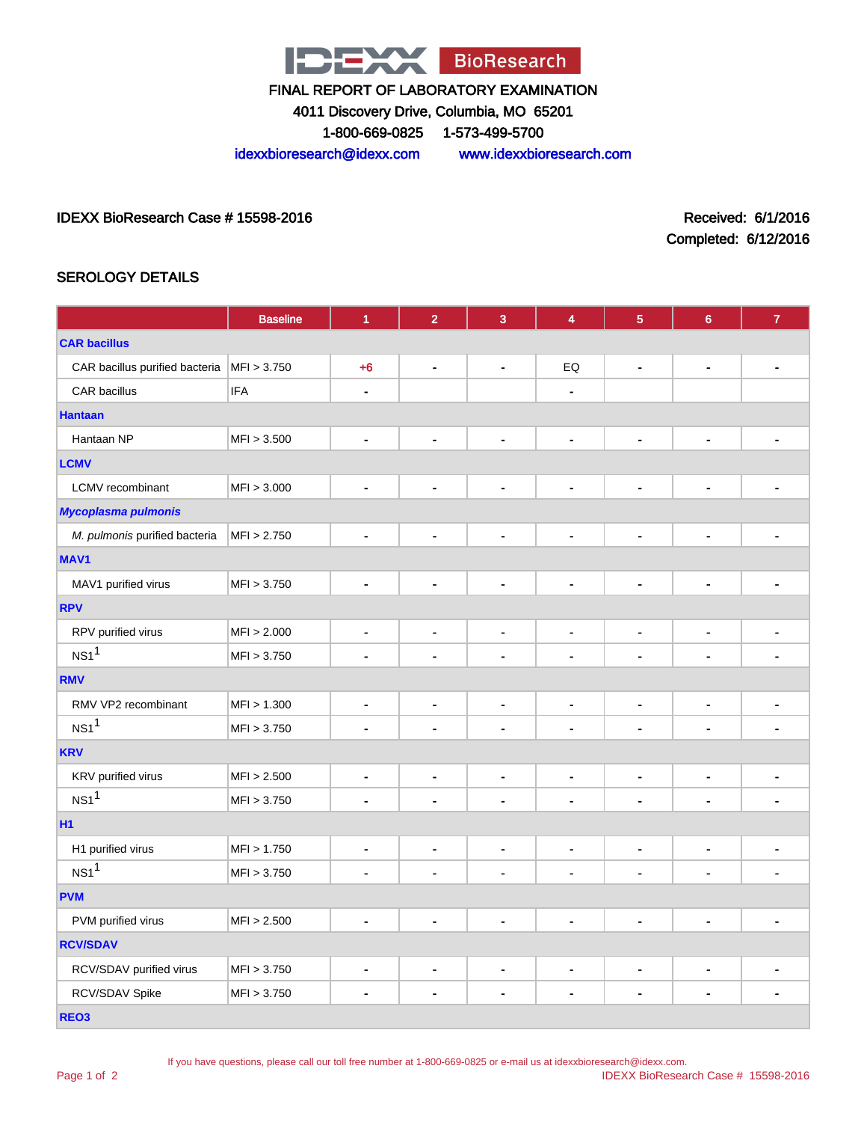

4011 Discovery Drive, Columbia, MO 65201

1-800-669-0825 1-573-499-5700

idexxbioresearch@idexx.com www.idexxbioresearch.com

#### IDEXX BioResearch Case # 15598-2016 Received: 6/1/2016

Completed: 6/12/2016

## SEROLOGY DETAILS

|                                | <b>Baseline</b> | $\blacktriangleleft$         | $\overline{2}$               | $\overline{3}$               | 4                        | 5                            | $6\phantom{1}6$          | $\overline{7}$ |  |  |
|--------------------------------|-----------------|------------------------------|------------------------------|------------------------------|--------------------------|------------------------------|--------------------------|----------------|--|--|
| <b>CAR bacillus</b>            |                 |                              |                              |                              |                          |                              |                          |                |  |  |
| CAR bacillus purified bacteria | MFI > 3.750     | $+6$                         | $\qquad \qquad \blacksquare$ | $\blacksquare$               | EQ                       | $\blacksquare$               | $\blacksquare$           | ٠              |  |  |
| CAR bacillus                   | <b>IFA</b>      | $\qquad \qquad \blacksquare$ |                              |                              | ÷,                       |                              |                          |                |  |  |
| <b>Hantaan</b>                 |                 |                              |                              |                              |                          |                              |                          |                |  |  |
| Hantaan NP                     | MFI > 3.500     | $\blacksquare$               | ä,                           | $\blacksquare$               | $\blacksquare$           | ÷,                           | $\blacksquare$           |                |  |  |
| <b>LCMV</b>                    |                 |                              |                              |                              |                          |                              |                          |                |  |  |
| <b>LCMV</b> recombinant        | MFI > 3.000     | $\blacksquare$               | $\blacksquare$               | $\blacksquare$               | $\blacksquare$           |                              | $\blacksquare$           | ä,             |  |  |
| <b>Mycoplasma pulmonis</b>     |                 |                              |                              |                              |                          |                              |                          |                |  |  |
| M. pulmonis purified bacteria  | MFI > 2.750     | $\qquad \qquad \blacksquare$ | $\overline{a}$               | $\qquad \qquad \blacksquare$ | $\blacksquare$           | ÷,                           | $\blacksquare$           |                |  |  |
| MAV1                           |                 |                              |                              |                              |                          |                              |                          |                |  |  |
| MAV1 purified virus            | MFI > 3.750     | $\blacksquare$               | $\blacksquare$               | $\blacksquare$               | $\blacksquare$           | $\blacksquare$               | $\blacksquare$           | $\blacksquare$ |  |  |
| <b>RPV</b>                     |                 |                              |                              |                              |                          |                              |                          |                |  |  |
| RPV purified virus             | MFI > 2.000     | $\blacksquare$               | $\blacksquare$               | $\blacksquare$               | $\blacksquare$           | $\blacksquare$               | $\blacksquare$           |                |  |  |
| NS1 <sup>1</sup>               | MFI > 3.750     | $\blacksquare$               | $\blacksquare$               | $\blacksquare$               | $\blacksquare$           | $\blacksquare$               | $\blacksquare$           |                |  |  |
| <b>RMV</b>                     |                 |                              |                              |                              |                          |                              |                          |                |  |  |
| RMV VP2 recombinant            | MFI > 1.300     | $\blacksquare$               | $\blacksquare$               | $\blacksquare$               | $\blacksquare$           | $\blacksquare$               | $\blacksquare$           | $\blacksquare$ |  |  |
| NS1 <sup>1</sup>               | MFI > 3.750     | $\qquad \qquad \blacksquare$ | $\blacksquare$               | $\blacksquare$               | $\blacksquare$           |                              | ÷                        |                |  |  |
| <b>KRV</b>                     |                 |                              |                              |                              |                          |                              |                          |                |  |  |
| KRV purified virus             | MFI > 2.500     | $\blacksquare$               | $\blacksquare$               | $\blacksquare$               | $\blacksquare$           | $\blacksquare$               | $\blacksquare$           | $\blacksquare$ |  |  |
| $NS1$ <sup>1</sup>             | MFI > 3.750     | $\blacksquare$               | $\blacksquare$               | $\blacksquare$               | $\blacksquare$           |                              | $\blacksquare$           |                |  |  |
| H1                             |                 |                              |                              |                              |                          |                              |                          |                |  |  |
| H1 purified virus              | MFI > 1.750     | $\blacksquare$               | $\blacksquare$               | $\blacksquare$               | $\blacksquare$           | $\blacksquare$               | $\blacksquare$           | $\blacksquare$ |  |  |
| NS1 <sup>1</sup>               | MFI > 3.750     | $\blacksquare$               | ä,                           |                              | $\blacksquare$           |                              |                          |                |  |  |
| <b>PVM</b>                     |                 |                              |                              |                              |                          |                              |                          |                |  |  |
| PVM purified virus             | MFI > 2.500     | $\blacksquare$               | $\blacksquare$               | ä,                           | $\blacksquare$           | ä,                           | ä,                       |                |  |  |
| <b>RCV/SDAV</b>                |                 |                              |                              |                              |                          |                              |                          |                |  |  |
| RCV/SDAV purified virus        | MFI > 3.750     | $\blacksquare$               | $\qquad \qquad \blacksquare$ | $\qquad \qquad \blacksquare$ | $\overline{\phantom{a}}$ | $\qquad \qquad \blacksquare$ | $\overline{\phantom{a}}$ | -              |  |  |
| RCV/SDAV Spike                 | MFI > 3.750     | $\blacksquare$               | $\blacksquare$               | $\blacksquare$               | $\blacksquare$           | $\blacksquare$               | $\blacksquare$           | -              |  |  |
| REO <sub>3</sub>               |                 |                              |                              |                              |                          |                              |                          |                |  |  |

Page 1 of 2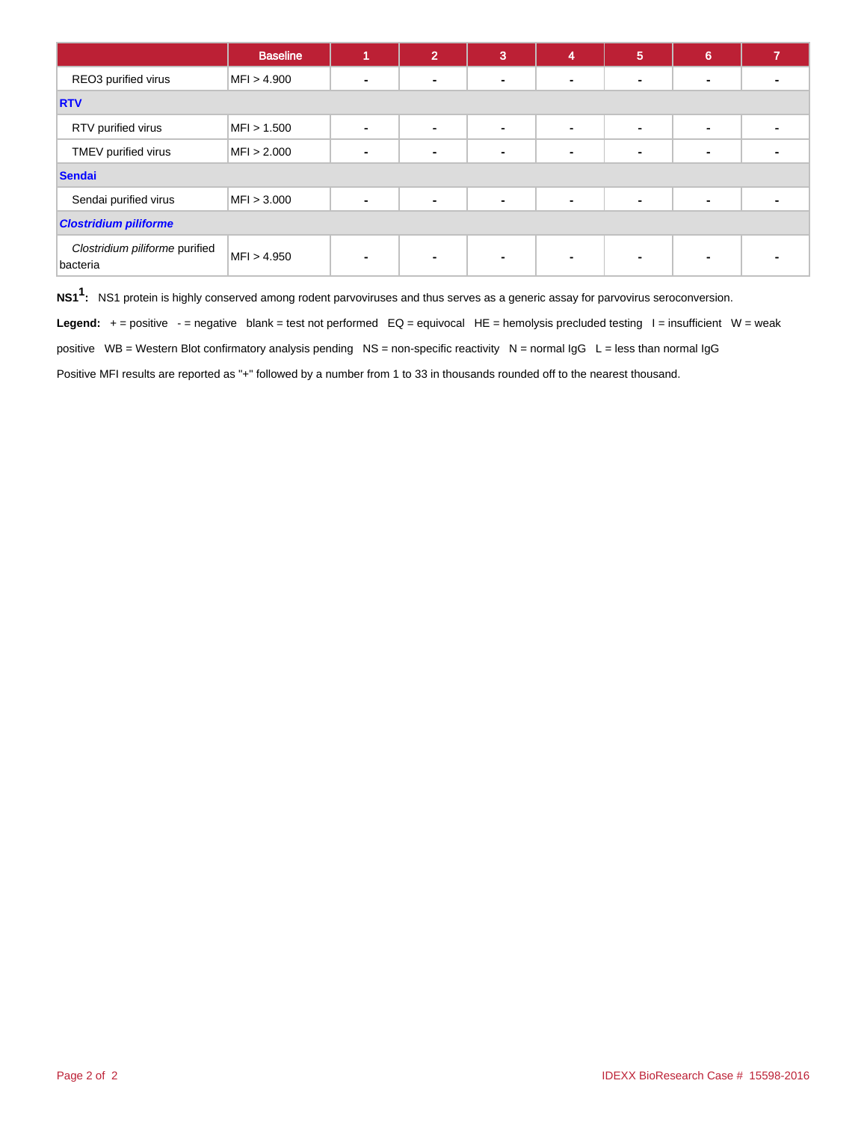|                                            | <b>Baseline</b> |                          | $\mathbf{2}^{\prime}$ | 3              | 4              | $5\phantom{1}$ | 6              |  |  |
|--------------------------------------------|-----------------|--------------------------|-----------------------|----------------|----------------|----------------|----------------|--|--|
| REO3 purified virus                        | MFI > 4.900     | -                        | $\blacksquare$        | -              | $\blacksquare$ |                | н.             |  |  |
| <b>RTV</b>                                 |                 |                          |                       |                |                |                |                |  |  |
| RTV purified virus                         | MFI > 1.500     | $\blacksquare$           | $\blacksquare$        | $\blacksquare$ | $\blacksquare$ | $\blacksquare$ | $\blacksquare$ |  |  |
| TMEV purified virus                        | MFI > 2.000     |                          | ۰                     |                | $\blacksquare$ |                |                |  |  |
| <b>Sendai</b>                              |                 |                          |                       |                |                |                |                |  |  |
| Sendai purified virus                      | MFI > 3.000     | $\overline{\phantom{0}}$ | $\blacksquare$        | $\blacksquare$ | $\blacksquare$ |                | $\blacksquare$ |  |  |
| <b>Clostridium piliforme</b>               |                 |                          |                       |                |                |                |                |  |  |
| Clostridium piliforme purified<br>bacteria | MFI > 4.950     | $\blacksquare$           | $\blacksquare$        | ۰              | ۰              |                |                |  |  |

**NS11 :** NS1 protein is highly conserved among rodent parvoviruses and thus serves as a generic assay for parvovirus seroconversion.

Legend: + = positive - = negative blank = test not performed EQ = equivocal HE = hemolysis precluded testing I = insufficient W = weak

positive WB = Western Blot confirmatory analysis pending NS = non-specific reactivity N = normal IgG L = less than normal IgG

Positive MFI results are reported as "+" followed by a number from 1 to 33 in thousands rounded off to the nearest thousand.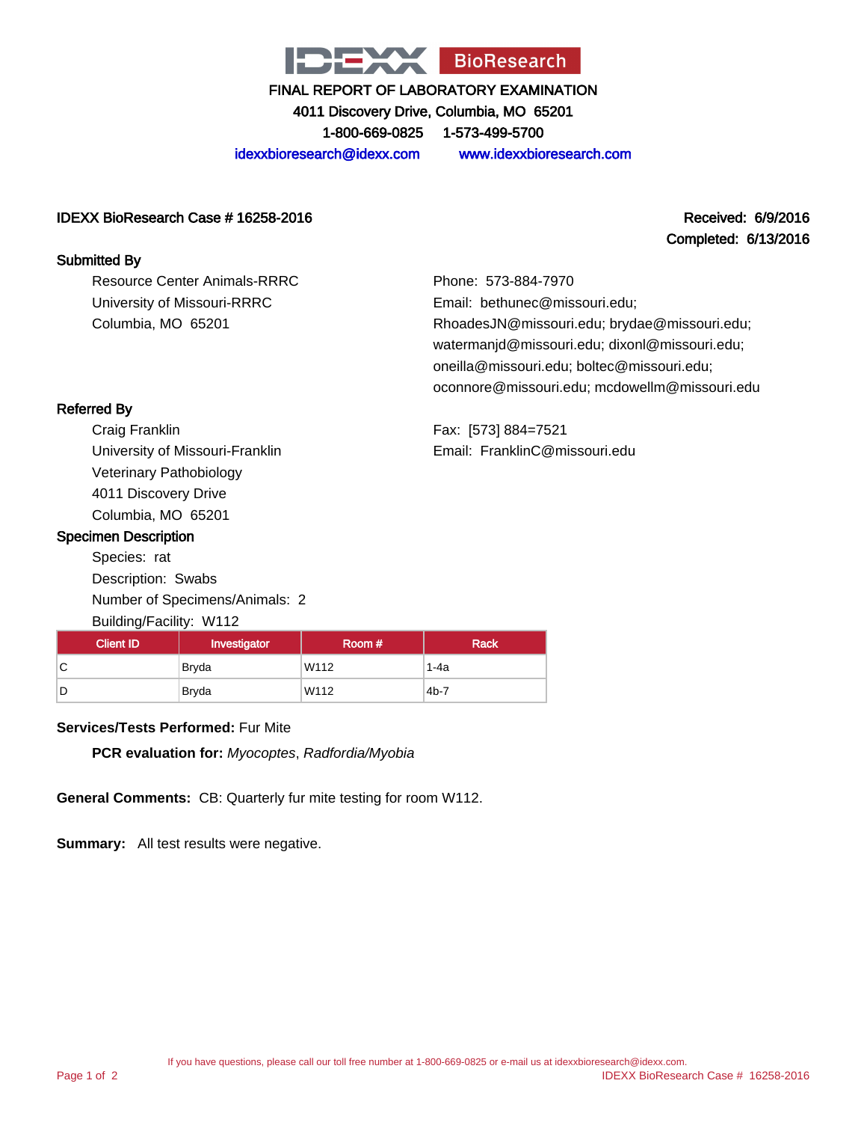

4011 Discovery Drive, Columbia, MO 65201

1-800-669-0825 1-573-499-5700

idexxbioresearch@idexx.com www.idexxbioresearch.com

#### IDEXX BioResearch Case # 16258-2016 Received: 6/9/2016

# Completed: 6/13/2016

#### Submitted By

Resource Center Animals-RRRC University of Missouri-RRRC Columbia, MO 65201

Phone: 573-884-7970 Email: bethunec@missouri.edu; RhoadesJN@missouri.edu; brydae@missouri.edu; watermanjd@missouri.edu; dixonl@missouri.edu; oneilla@missouri.edu; boltec@missouri.edu; oconnore@missouri.edu; mcdowellm@missouri.edu

Fax: [573] 884=7521 Email: FranklinC@missouri.edu

## Referred By

Craig Franklin University of Missouri-Franklin Veterinary Pathobiology 4011 Discovery Drive Columbia, MO 65201

### Specimen Description

Species: rat Description: Swabs Number of Specimens/Animals: 2 Building/Facility: W112

| <b>Client ID</b> | Investigator | Room # | Rack   |
|------------------|--------------|--------|--------|
| ◡                | Bryda        | W112   | 1-4a   |
| D                | Bryda        | W112   | $4b-7$ |

## **Services/Tests Performed:** Fur Mite

**PCR evaluation for:** Myocoptes, Radfordia/Myobia

**General Comments:** CB: Quarterly fur mite testing for room W112.

**Summary:** All test results were negative.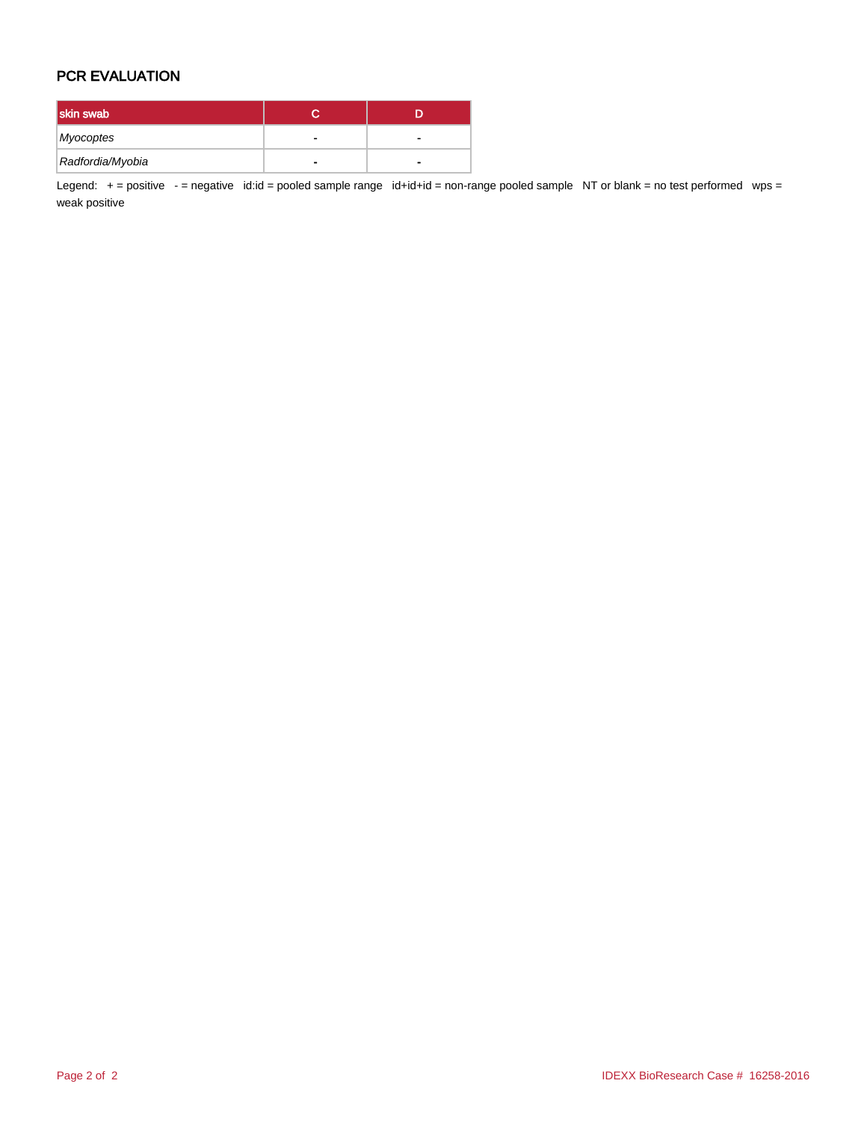## PCR EVALUATION

| skin swab        |   |
|------------------|---|
| Myocoptes        |   |
| Radfordia/Myobia | - |

Legend: + = positive - = negative id:id = pooled sample range id+id+id = non-range pooled sample NT or blank = no test performed wps = weak positive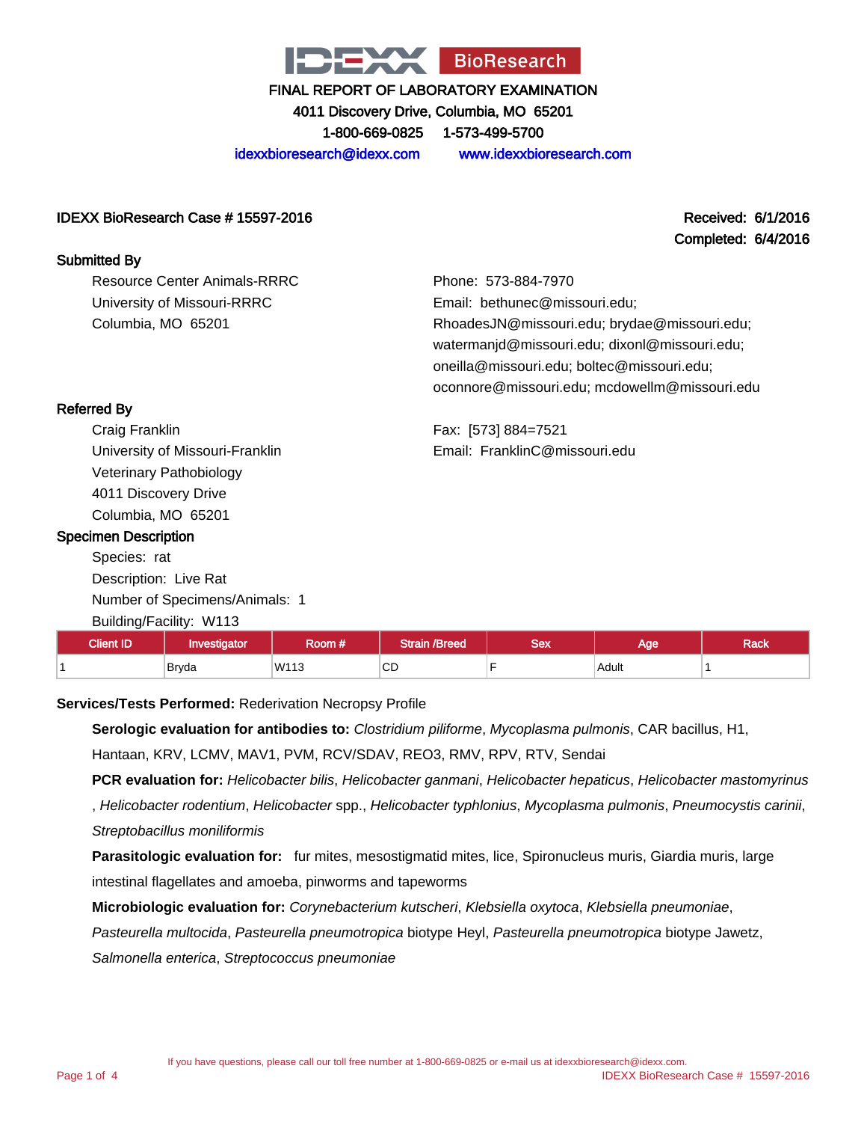

4011 Discovery Drive, Columbia, MO 65201 1-800-669-0825 1-573-499-5700

idexxbioresearch@idexx.com www.idexxbioresearch.com

#### IDEXX BioResearch Case # 15597-2016 Received: 6/1/2016

# Completed: 6/4/2016

Submitted By

Resource Center Animals-RRRC University of Missouri-RRRC Columbia, MO 65201

Phone: 573-884-7970 Email: bethunec@missouri.edu; RhoadesJN@missouri.edu; brydae@missouri.edu; watermanjd@missouri.edu; dixonl@missouri.edu; oneilla@missouri.edu; boltec@missouri.edu; oconnore@missouri.edu; mcdowellm@missouri.edu

Fax: [573] 884=7521 Email: FranklinC@missouri.edu

| <b>Referred By</b> |  |
|--------------------|--|
|--------------------|--|

Craig Franklin University of Missouri-Franklin Veterinary Pathobiology 4011 Discovery Drive Columbia, MO 65201

### Specimen Description

Species: rat Description: Live Rat Number of Specimens/Animals: 1 Building/Facility: W113

| <b>Client ID</b> | Investigator | Room # | <b>Strain /Breed</b> | ⊇ื∩∨<br>コセス | Age        | Rack |
|------------------|--------------|--------|----------------------|-------------|------------|------|
|                  | <b>Bryda</b> | W113   | $\sim$<br>◡<br>$-$   |             | Adult<br>. |      |

#### **Services/Tests Performed:** Rederivation Necropsy Profile

**Serologic evaluation for antibodies to:** Clostridium piliforme, Mycoplasma pulmonis, CAR bacillus, H1, Hantaan, KRV, LCMV, MAV1, PVM, RCV/SDAV, REO3, RMV, RPV, RTV, Sendai

**PCR evaluation for:** Helicobacter bilis, Helicobacter ganmani, Helicobacter hepaticus, Helicobacter mastomyrinus

, Helicobacter rodentium, Helicobacter spp., Helicobacter typhlonius, Mycoplasma pulmonis, Pneumocystis carinii, Streptobacillus moniliformis

**Parasitologic evaluation for:** fur mites, mesostigmatid mites, lice, Spironucleus muris, Giardia muris, large intestinal flagellates and amoeba, pinworms and tapeworms

**Microbiologic evaluation for:** Corynebacterium kutscheri, Klebsiella oxytoca, Klebsiella pneumoniae,

Pasteurella multocida, Pasteurella pneumotropica biotype Heyl, Pasteurella pneumotropica biotype Jawetz,

Salmonella enterica, Streptococcus pneumoniae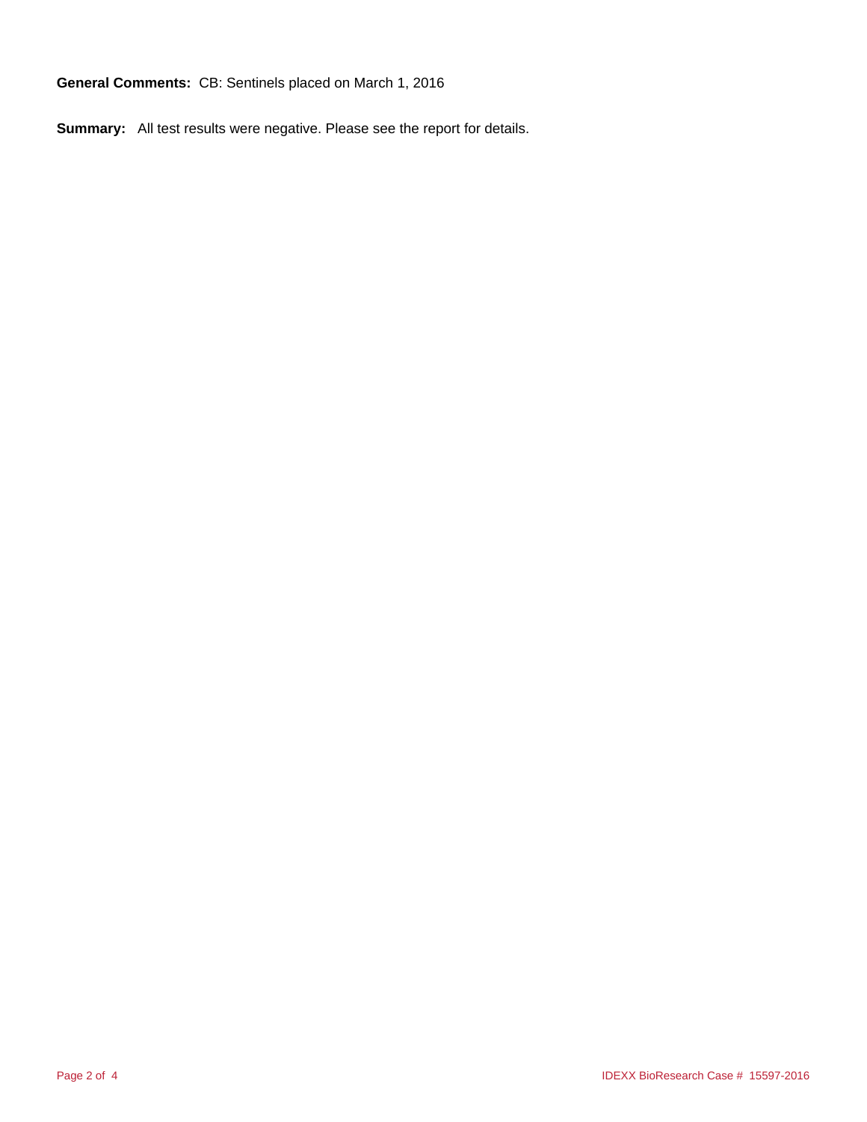**General Comments:** CB: Sentinels placed on March 1, 2016

**Summary:** All test results were negative. Please see the report for details.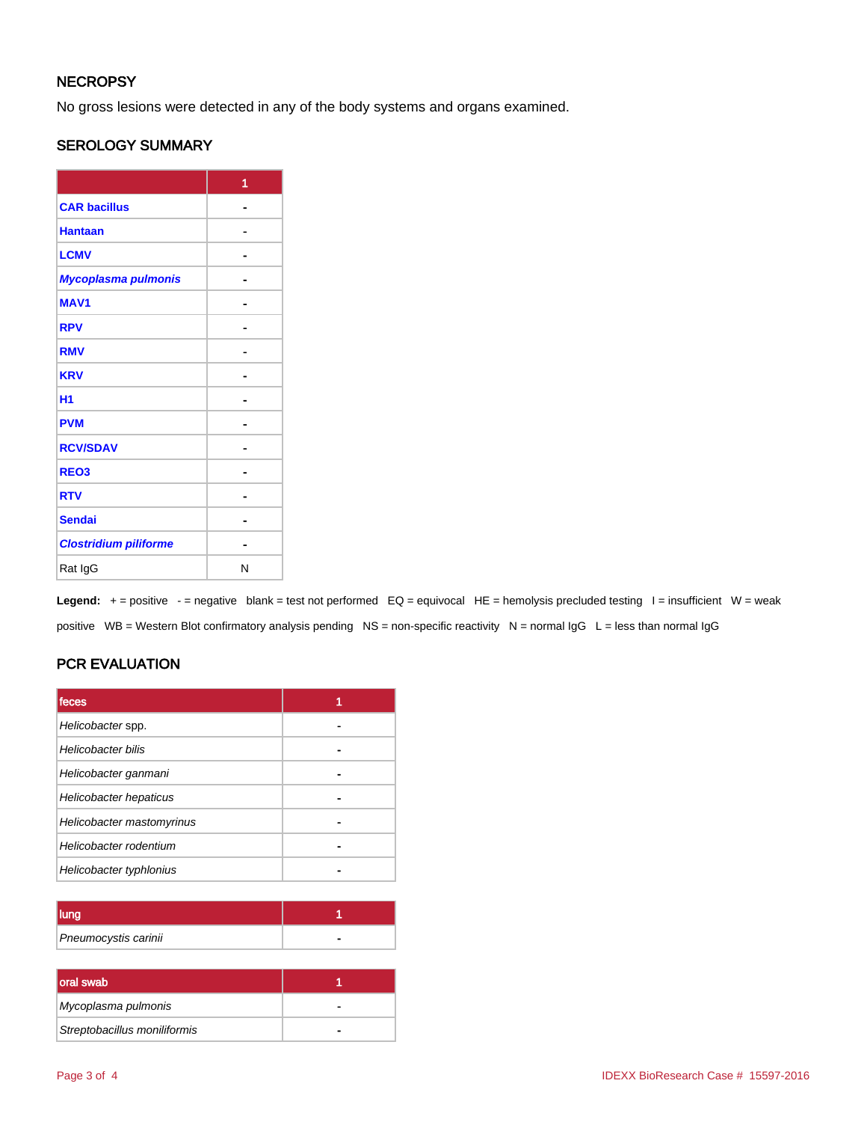## **NECROPSY**

No gross lesions were detected in any of the body systems and organs examined.

## SEROLOGY SUMMARY

|                              | 1 |
|------------------------------|---|
| <b>CAR bacillus</b>          |   |
| <b>Hantaan</b>               |   |
| <b>LCMV</b>                  |   |
| Mycoplasma pulmonis          |   |
| <b>MAV1</b>                  |   |
| <b>RPV</b>                   |   |
| <b>RMV</b>                   |   |
| <b>KRV</b>                   |   |
| H <sub>1</sub>               |   |
| <b>PVM</b>                   |   |
| <b>RCV/SDAV</b>              |   |
| REO <sub>3</sub>             |   |
| <b>RTV</b>                   |   |
| <b>Sendai</b>                |   |
| <b>Clostridium piliforme</b> |   |
| Rat IgG                      | N |

Legend: + = positive - = negative blank = test not performed EQ = equivocal HE = hemolysis precluded testing I = insufficient W = weak positive WB = Western Blot confirmatory analysis pending NS = non-specific reactivity N = normal IgG L = less than normal IgG

## PCR EVALUATION

| <b>Ifeces</b>             |  |
|---------------------------|--|
| Helicobacter spp.         |  |
| Helicobacter bilis        |  |
| Helicobacter ganmani      |  |
| Helicobacter hepaticus    |  |
| Helicobacter mastomyrinus |  |
| Helicobacter rodentium    |  |
| Helicobacter typhlonius   |  |

| Pneumocystis carinii |  |
|----------------------|--|

| oral swab                    |  |
|------------------------------|--|
| Mycoplasma pulmonis          |  |
| Streptobacillus moniliformis |  |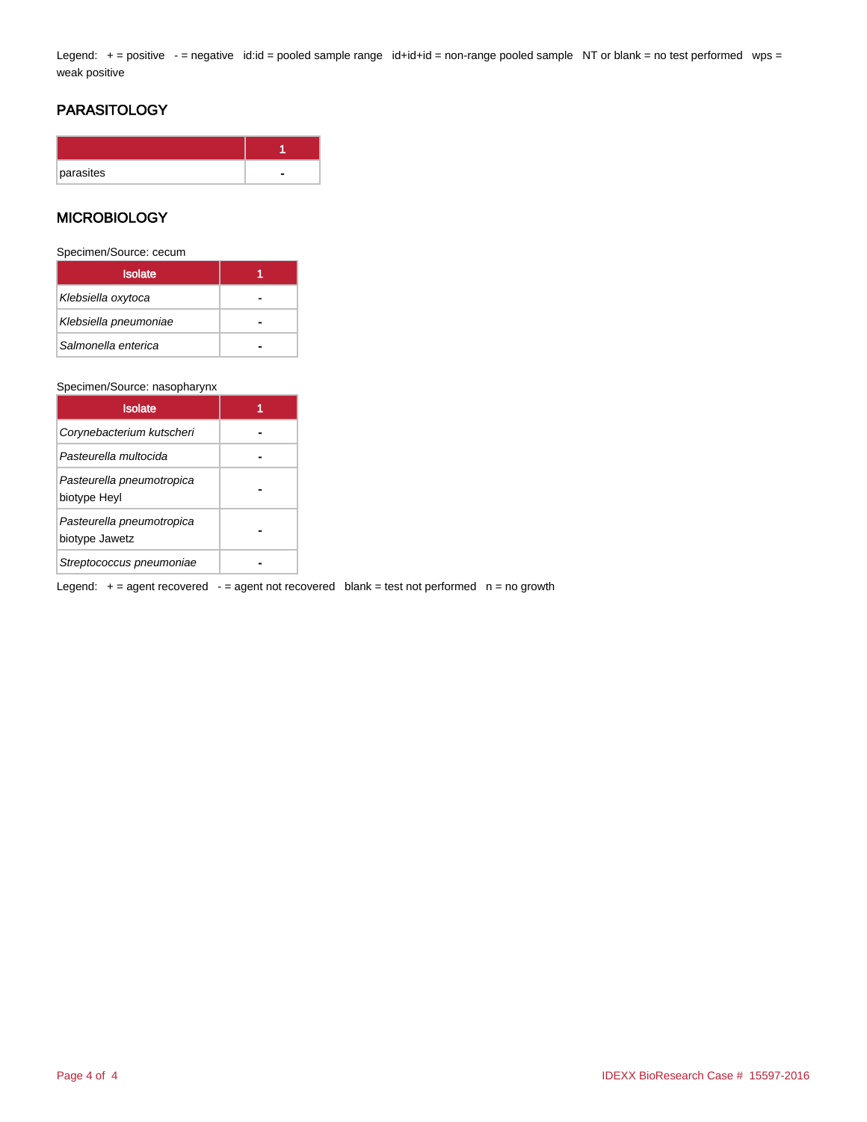Legend: + = positive - = negative id:id = pooled sample range id+id+id = non-range pooled sample NT or blank = no test performed wps = weak positive

## PARASITOLOGY

| parasites |  |
|-----------|--|

### **MICROBIOLOGY**

Specimen/Source: cecum

| <b>Isolate</b>        |  |
|-----------------------|--|
| Klebsiella oxytoca    |  |
| Klebsiella pneumoniae |  |
| Salmonella enterica   |  |

#### Specimen/Source: nasopharynx

| <b>Isolate</b>                              |  |
|---------------------------------------------|--|
| Corynebacterium kutscheri                   |  |
| Pasteurella multocida                       |  |
| Pasteurella pneumotropica<br>biotype Heyl   |  |
| Pasteurella pneumotropica<br>biotype Jawetz |  |
| Streptococcus pneumoniae                    |  |

Legend:  $+=$  agent recovered  $-$  = agent not recovered blank = test not performed  $n =$  no growth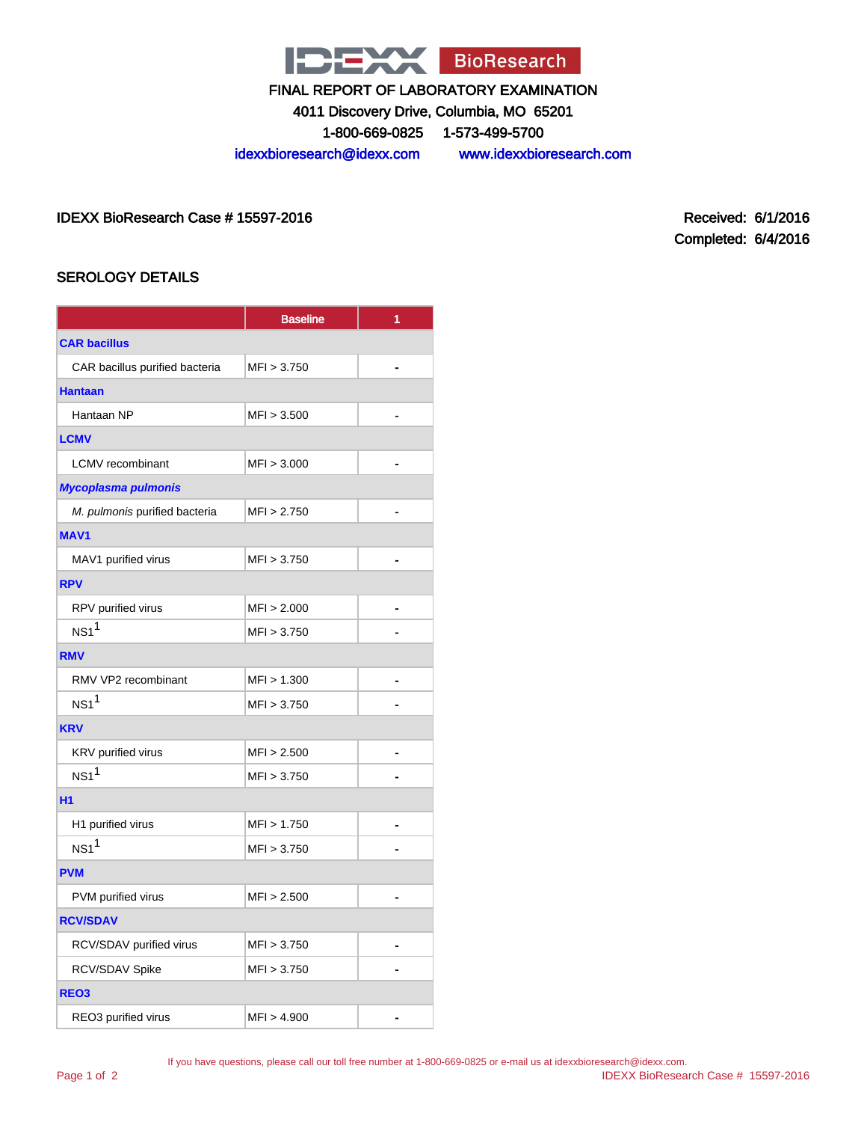

4011 Discovery Drive, Columbia, MO 65201

1-800-669-0825 1-573-499-5700

idexxbioresearch@idexx.com www.idexxbioresearch.com

IDEXX BioResearch Case # 15597-2016 Received: 6/1/2016

Completed: 6/4/2016

## SEROLOGY DETAILS

|                                | <b>Baseline</b> | 1              |  |  |  |
|--------------------------------|-----------------|----------------|--|--|--|
| <b>CAR bacillus</b>            |                 |                |  |  |  |
| CAR bacillus purified bacteria | MFI > 3.750     |                |  |  |  |
| <b>Hantaan</b>                 |                 |                |  |  |  |
| Hantaan NP                     | MFI > 3.500     |                |  |  |  |
| <b>LCMV</b>                    |                 |                |  |  |  |
| <b>LCMV</b> recombinant        | MFI > 3.000     | $\blacksquare$ |  |  |  |
| <b>Mycoplasma pulmonis</b>     |                 |                |  |  |  |
| M. pulmonis purified bacteria  | MFI > 2.750     |                |  |  |  |
| <b>MAV1</b>                    |                 |                |  |  |  |
| MAV1 purified virus            | MFI > 3.750     | ä.             |  |  |  |
| <b>RPV</b>                     |                 |                |  |  |  |
| RPV purified virus             | MFI > 2.000     |                |  |  |  |
| NS1 <sup>1</sup>               | MFI > 3.750     |                |  |  |  |
| <b>RMV</b>                     |                 |                |  |  |  |
| RMV VP2 recombinant            | MFI > 1.300     |                |  |  |  |
| NS1 <sup>1</sup>               | MFI > 3.750     |                |  |  |  |
| <b>KRV</b>                     |                 |                |  |  |  |
| KRV purified virus             | MFI > 2.500     |                |  |  |  |
| NS1 <sup>1</sup>               | MFI > 3.750     |                |  |  |  |
| <b>H1</b>                      |                 |                |  |  |  |
| H1 purified virus              | MFI > 1.750     |                |  |  |  |
| NS1 <sup>1</sup>               | MFI > 3.750     |                |  |  |  |
| <b>PVM</b>                     |                 |                |  |  |  |
| PVM purified virus             | MFI > 2.500     |                |  |  |  |
| <b>RCV/SDAV</b>                |                 |                |  |  |  |
| RCV/SDAV purified virus        | MFI > 3.750     |                |  |  |  |
| RCV/SDAV Spike                 | MFI > 3.750     |                |  |  |  |
| REO <sub>3</sub>               |                 |                |  |  |  |
| REO3 purified virus            | MFI > 4.900     |                |  |  |  |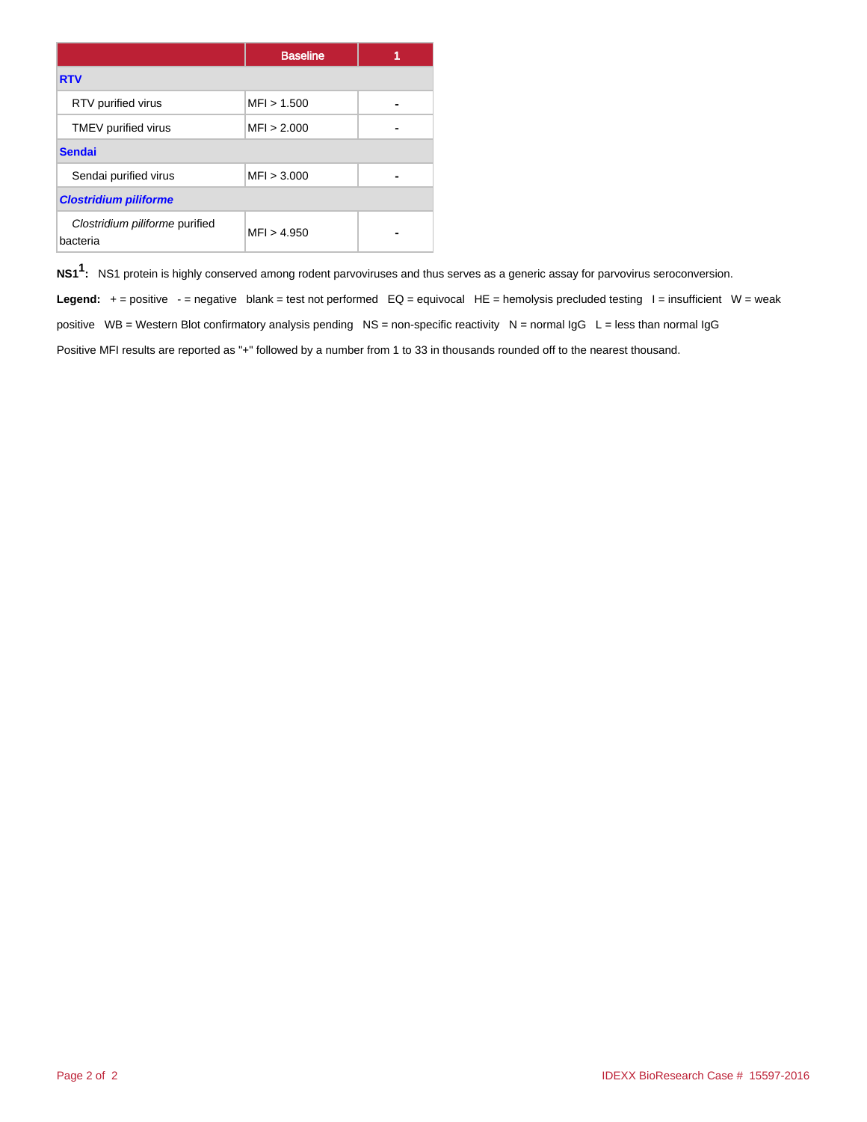|                                            | <b>Baseline</b> |  |  |  |  |
|--------------------------------------------|-----------------|--|--|--|--|
| <b>RTV</b>                                 |                 |  |  |  |  |
| RTV purified virus                         | MFI > 1.500     |  |  |  |  |
| TMEV purified virus                        | MFI > 2.000     |  |  |  |  |
| <b>Sendai</b>                              |                 |  |  |  |  |
| Sendai purified virus                      | MFI > 3.000     |  |  |  |  |
| <b>Clostridium piliforme</b>               |                 |  |  |  |  |
| Clostridium piliforme purified<br>bacteria | MFI > 4.950     |  |  |  |  |

**NS11 :** NS1 protein is highly conserved among rodent parvoviruses and thus serves as a generic assay for parvovirus seroconversion.

Legend: + = positive - = negative blank = test not performed EQ = equivocal HE = hemolysis precluded testing I = insufficient W = weak positive WB = Western Blot confirmatory analysis pending NS = non-specific reactivity N = normal  $\lg G$  L = less than normal  $\lg G$ Positive MFI results are reported as "+" followed by a number from 1 to 33 in thousands rounded off to the nearest thousand.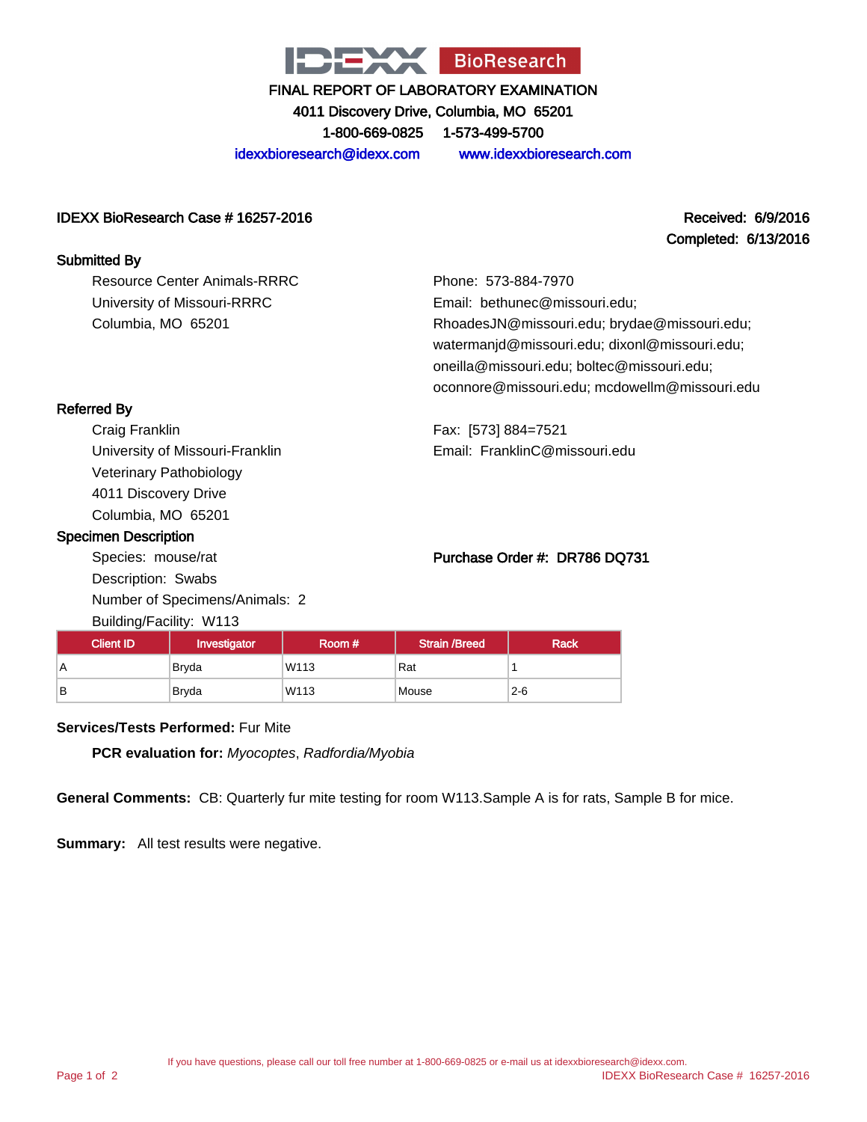

4011 Discovery Drive, Columbia, MO 65201

1-800-669-0825 1-573-499-5700

idexxbioresearch@idexx.com www.idexxbioresearch.com

#### IDEXX BioResearch Case # 16257-2016 Received: 6/9/2016

# Completed: 6/13/2016

| <b>Submitted By</b>                 |                                                                                                                                                                                              |
|-------------------------------------|----------------------------------------------------------------------------------------------------------------------------------------------------------------------------------------------|
| <b>Resource Center Animals-RRRC</b> | Phone: 573-884-7970                                                                                                                                                                          |
| University of Missouri-RRRC         | Email: bethunec@missouri.edu;                                                                                                                                                                |
| Columbia, MO 65201                  | RhoadesJN@missouri.edu; brydae@missouri.edu;<br>watermanjd@missouri.edu; dixonl@missouri.edu;<br>oneilla@missouri.edu; boltec@missouri.edu;<br>oconnore@missouri.edu; mcdowellm@missouri.edu |
| <b>Referred By</b>                  |                                                                                                                                                                                              |

Craig Franklin University of Missouri-Franklin Veterinary Pathobiology 4011 Discovery Drive Columbia, MO 65201

#### Specimen Description

Species: mouse/rat Description: Swabs Number of Specimens/Animals: 2 Building/Facility: W113

Fax: [573] 884=7521 Email: FranklinC@missouri.edu

### Purchase Order #: DR786 DQ731

| Client ID <sup>1</sup> | Investigator | Room #           | <b>Strain /Breed</b> | <b>Rack</b> |  |  |  |
|------------------------|--------------|------------------|----------------------|-------------|--|--|--|
| A                      | <b>Brvda</b> | W <sub>113</sub> | Rat                  |             |  |  |  |
| B                      | <b>Bryda</b> | W113             | Mouse                | $2 - 6$     |  |  |  |

#### **Services/Tests Performed:** Fur Mite

**PCR evaluation for:** Myocoptes, Radfordia/Myobia

**General Comments:** CB: Quarterly fur mite testing for room W113.Sample A is for rats, Sample B for mice.

**Summary:** All test results were negative.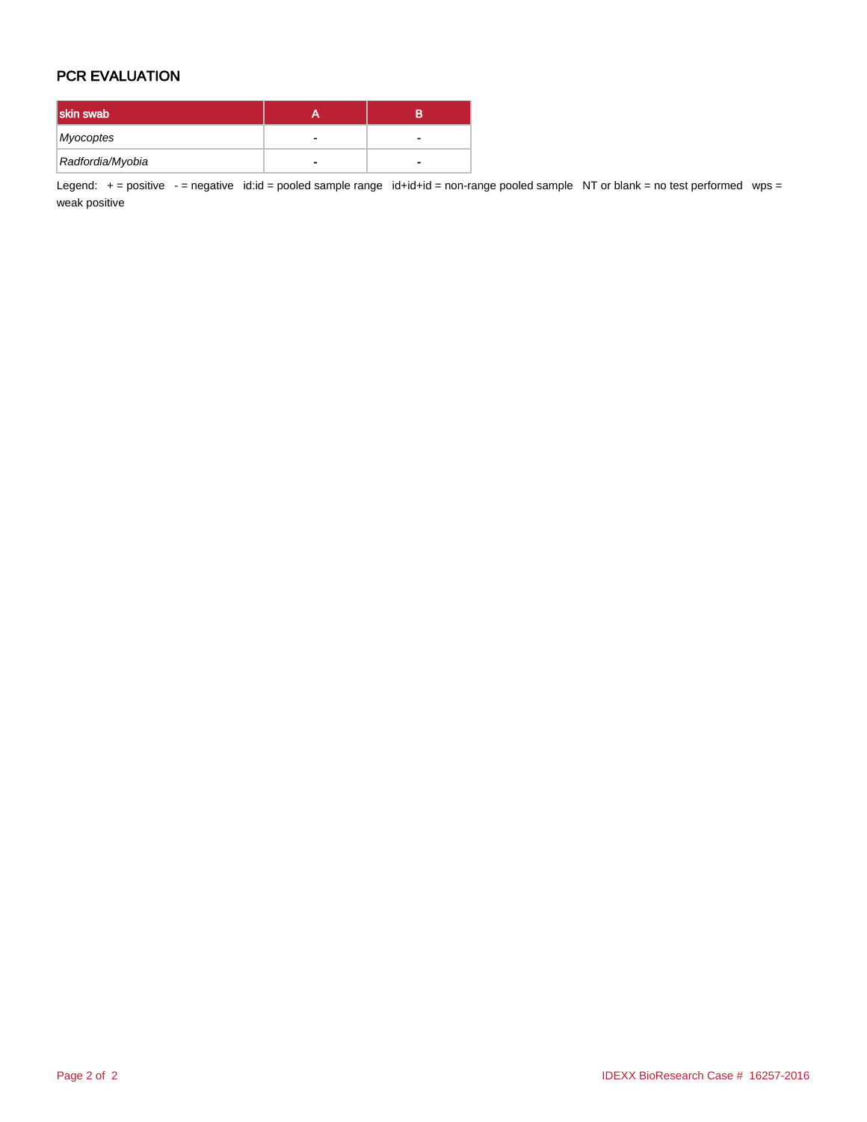## PCR EVALUATION

| skin swab        | в |
|------------------|---|
| Myocoptes        |   |
| Radfordia/Myobia | - |

Legend: + = positive - = negative id:id = pooled sample range id+id+id = non-range pooled sample NT or blank = no test performed wps = weak positive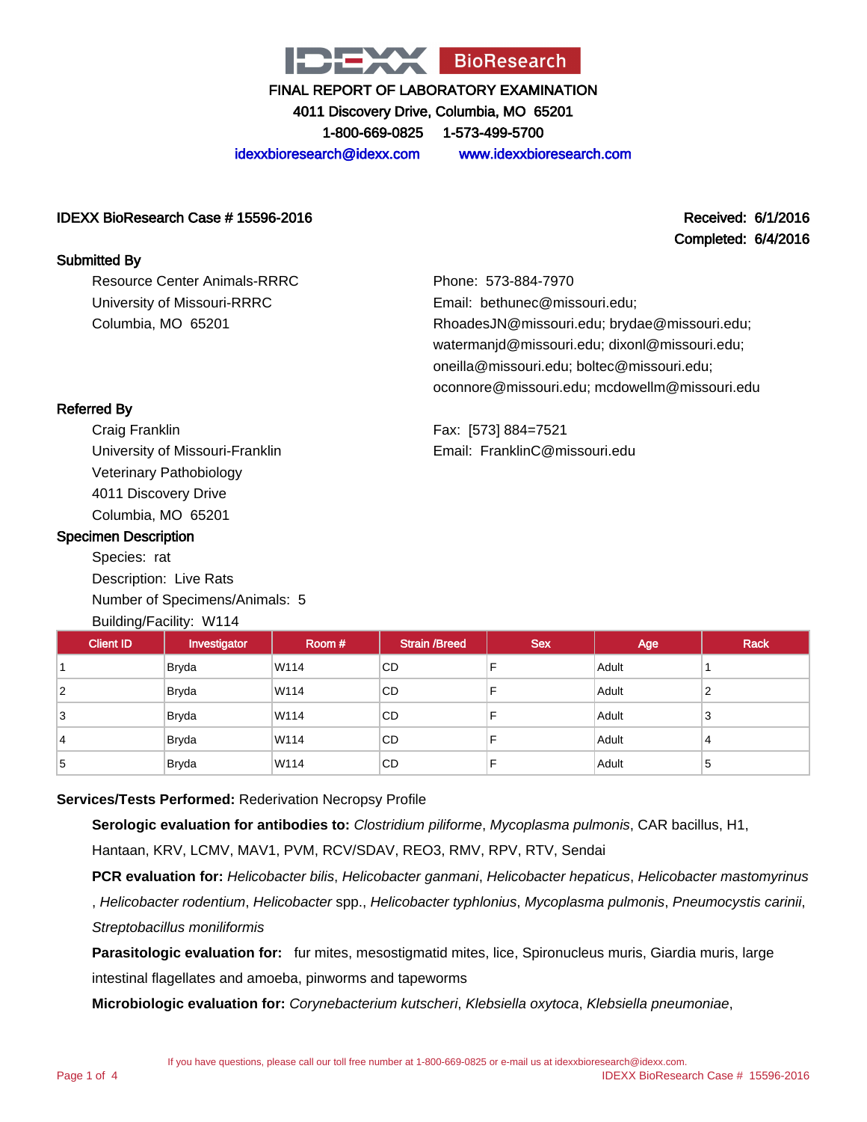

4011 Discovery Drive, Columbia, MO 65201 1-800-669-0825 1-573-499-5700

idexxbioresearch@idexx.com www.idexxbioresearch.com

### IDEXX BioResearch Case # 15596-2016 Received: 6/1/2016

# Completed: 6/4/2016

Resource Center Animals-RRRC University of Missouri-RRRC Columbia, MO 65201

Phone: 573-884-7970 Email: bethunec@missouri.edu; RhoadesJN@missouri.edu; brydae@missouri.edu; watermanjd@missouri.edu; dixonl@missouri.edu; oneilla@missouri.edu; boltec@missouri.edu; oconnore@missouri.edu; mcdowellm@missouri.edu

Fax: [573] 884=7521 Email: FranklinC@missouri.edu

## Referred By

Submitted By

Craig Franklin University of Missouri-Franklin Veterinary Pathobiology 4011 Discovery Drive Columbia, MO 65201

### Specimen Description

Species: rat Description: Live Rats Number of Specimens/Animals: 5 Building/Facility: W114

| <b>Client ID</b> | Investigator | Room # | <b>Strain /Breed</b> | <b>Sex</b> | Age   | <b>Rack</b> |
|------------------|--------------|--------|----------------------|------------|-------|-------------|
|                  | <b>Bryda</b> | W114   | CD.                  |            | Adult |             |
| $\overline{2}$   | <b>Bryda</b> | W114   | <b>CD</b>            |            | Adult | っ<br>{      |
| 3                | Bryda        | W114   | CD.                  |            | Adult | 3           |
| 14               | <b>Bryda</b> | W114   | CD.                  |            | Adult | 4           |
| 5                | <b>Bryda</b> | W114   | CD.                  |            | Adult | 5           |

## **Services/Tests Performed:** Rederivation Necropsy Profile

**Serologic evaluation for antibodies to:** Clostridium piliforme, Mycoplasma pulmonis, CAR bacillus, H1,

Hantaan, KRV, LCMV, MAV1, PVM, RCV/SDAV, REO3, RMV, RPV, RTV, Sendai

**PCR evaluation for:** Helicobacter bilis, Helicobacter ganmani, Helicobacter hepaticus, Helicobacter mastomyrinus

, Helicobacter rodentium, Helicobacter spp., Helicobacter typhlonius, Mycoplasma pulmonis, Pneumocystis carinii, Streptobacillus moniliformis

**Parasitologic evaluation for:** fur mites, mesostigmatid mites, lice, Spironucleus muris, Giardia muris, large intestinal flagellates and amoeba, pinworms and tapeworms

**Microbiologic evaluation for:** Corynebacterium kutscheri, Klebsiella oxytoca, Klebsiella pneumoniae,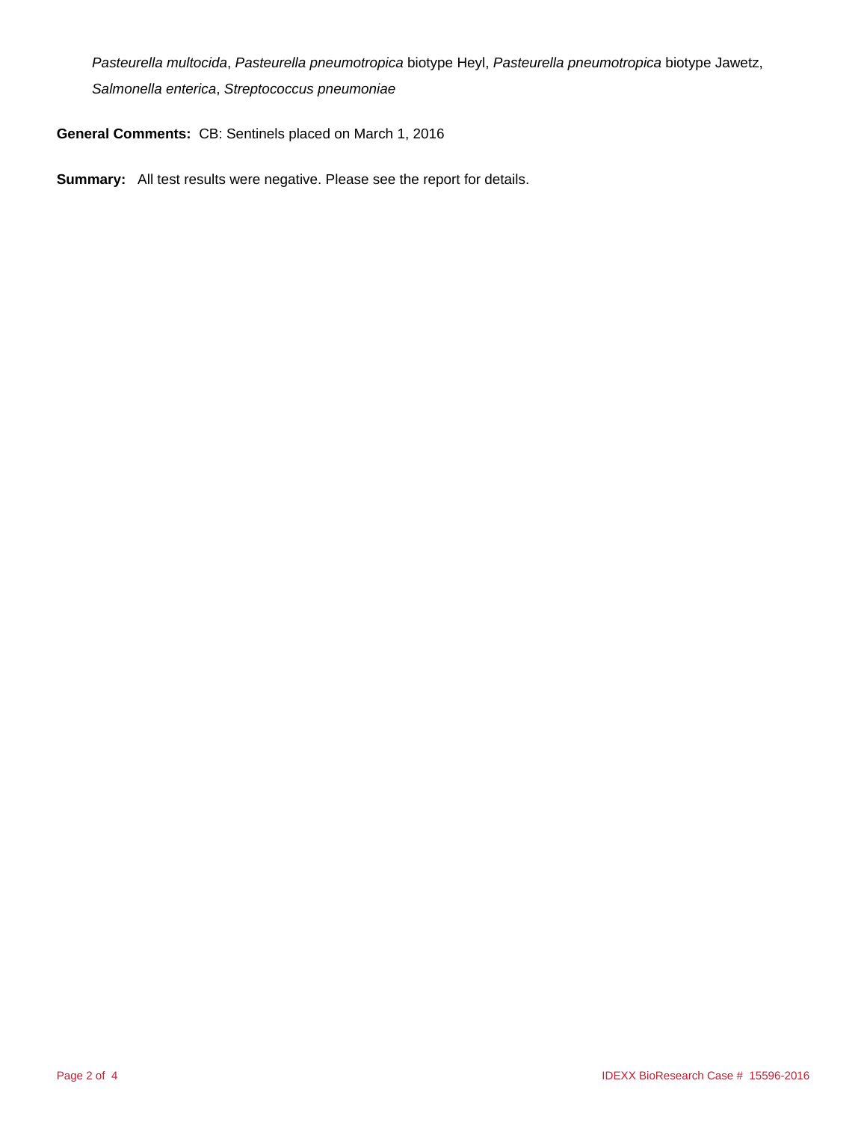Pasteurella multocida, Pasteurella pneumotropica biotype Heyl, Pasteurella pneumotropica biotype Jawetz, Salmonella enterica, Streptococcus pneumoniae

**General Comments:** CB: Sentinels placed on March 1, 2016

**Summary:** All test results were negative. Please see the report for details.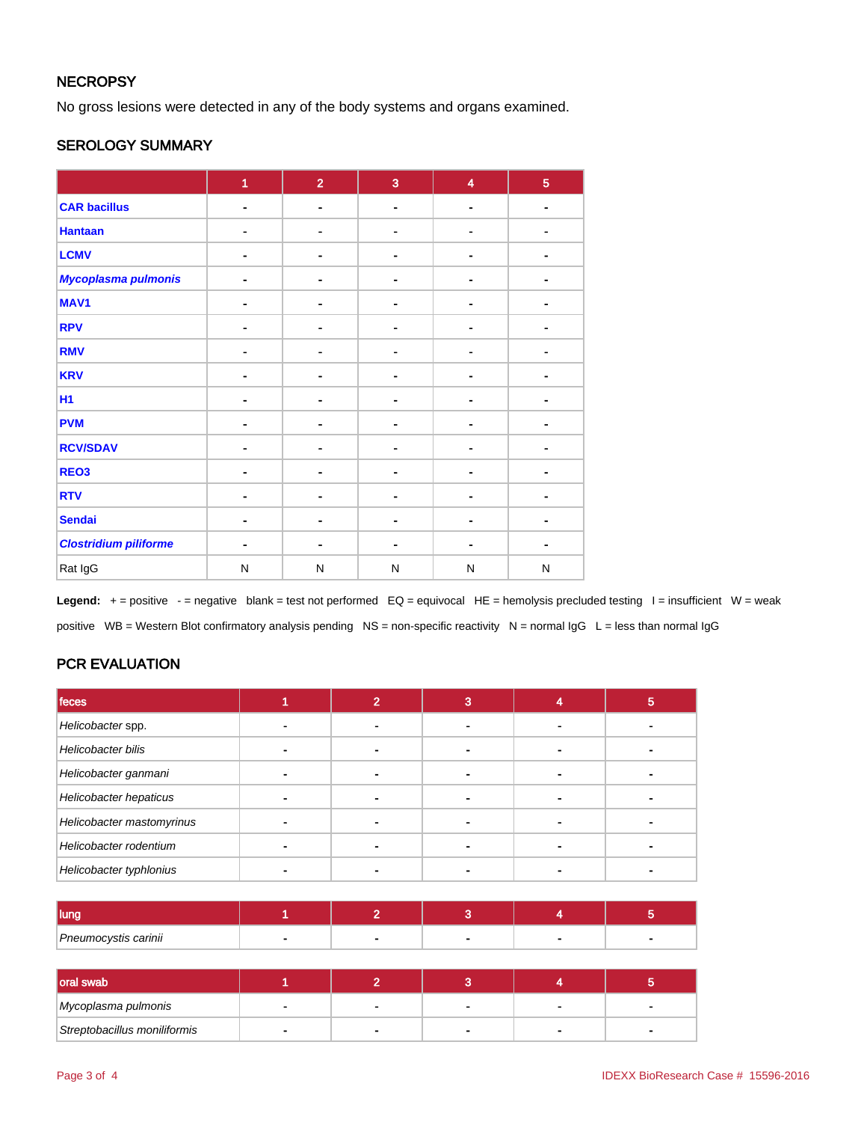## **NECROPSY**

No gross lesions were detected in any of the body systems and organs examined.

### SEROLOGY SUMMARY

|                              | $\overline{1}$ | $\overline{2}$ | $\overline{3}$ | $\overline{\mathbf{4}}$ | $\overline{5}$ |
|------------------------------|----------------|----------------|----------------|-------------------------|----------------|
| <b>CAR bacillus</b>          | $\blacksquare$ | $\blacksquare$ | $\blacksquare$ | $\blacksquare$          | $\blacksquare$ |
| <b>Hantaan</b>               |                | ۰              |                |                         |                |
| <b>LCMV</b>                  |                |                |                |                         |                |
| Mycoplasma pulmonis          |                | ۰              |                |                         |                |
| MAV1                         | ۰              | ٠              |                | ٠                       |                |
| <b>RPV</b>                   |                | -              |                | ä,                      |                |
| <b>RMV</b>                   |                | $\blacksquare$ |                |                         | ٠              |
| <b>KRV</b>                   |                | ۰              |                |                         |                |
| <b>H1</b>                    |                | -              |                |                         |                |
| <b>PVM</b>                   | $\blacksquare$ | ٠              | ۰.             | $\blacksquare$          |                |
| <b>RCV/SDAV</b>              |                | ۰              |                |                         |                |
| REO <sub>3</sub>             |                |                |                |                         |                |
| <b>RTV</b>                   |                | ٠              |                |                         |                |
| <b>Sendai</b>                |                | ۰              |                |                         |                |
| <b>Clostridium piliforme</b> |                |                | -              | ۰                       | $\blacksquare$ |
| Rat IgG                      | N              | N              | $\mathsf{N}$   | ${\sf N}$               | N              |

**Legend:**  $+$  = positive  $-$  = negative blank = test not performed  $EQ =$  equivocal  $HE =$  hemolysis precluded testing  $I =$  insufficient  $W =$  weak positive WB = Western Blot confirmatory analysis pending NS = non-specific reactivity N = normal IgG L = less than normal IgG

## PCR EVALUATION

| feces                     |  | 3 | ю |
|---------------------------|--|---|---|
| Helicobacter spp.         |  |   |   |
| Helicobacter bilis        |  |   |   |
| Helicobacter ganmani      |  |   |   |
| Helicobacter hepaticus    |  |   |   |
| Helicobacter mastomyrinus |  |   |   |
| Helicobacter rodentium    |  |   |   |
| Helicobacter typhlonius   |  |   |   |

| <b>lung</b>          |  |  |  |
|----------------------|--|--|--|
| Pneumocystis carinii |  |  |  |

| <b>loral swab</b>            |  |  |  |
|------------------------------|--|--|--|
| Mycoplasma pulmonis          |  |  |  |
| Streptobacillus moniliformis |  |  |  |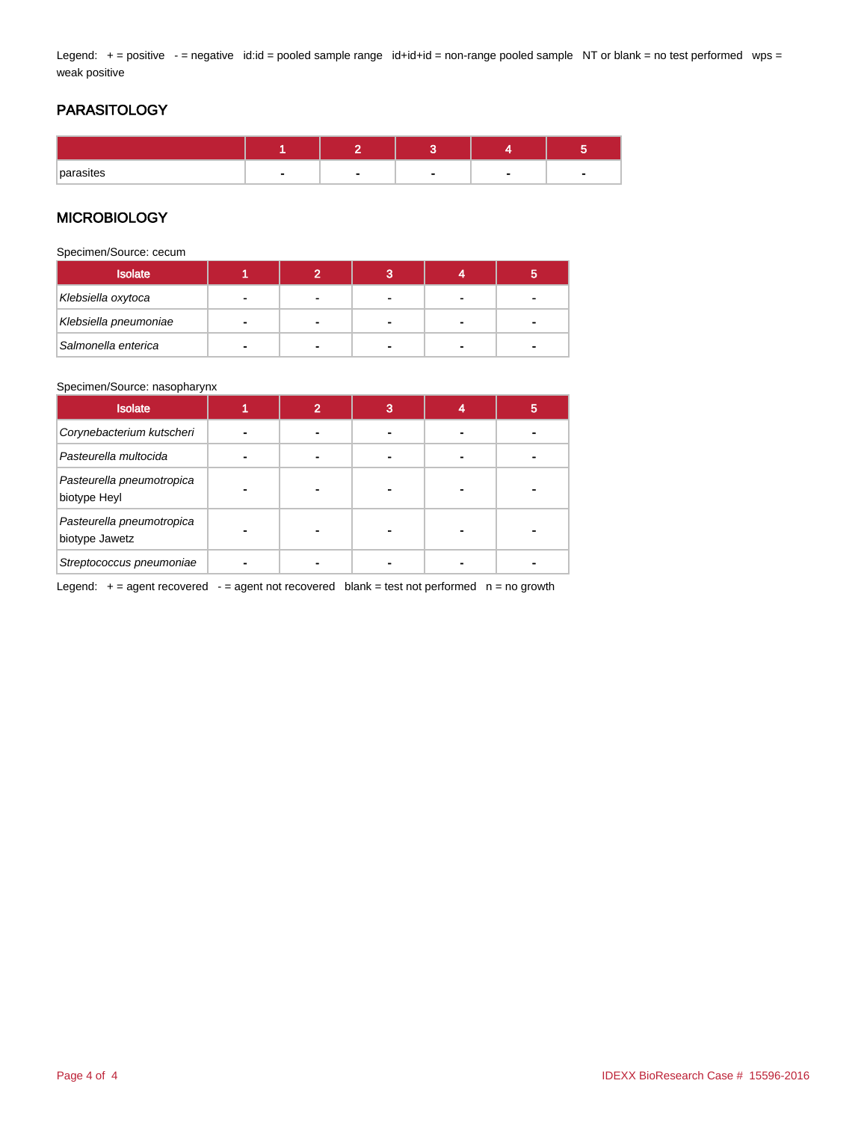Legend: + = positive - = negative id:id = pooled sample range id+id+id = non-range pooled sample NT or blank = no test performed wps = weak positive

## PARASITOLOGY

| parasites | $\sim$ | $\sim$ | $\overline{\phantom{a}}$ |  |
|-----------|--------|--------|--------------------------|--|

### **MICROBIOLOGY**

Specimen/Source: cecum

| <b>Isolate</b>        |  |   |  |
|-----------------------|--|---|--|
| Klebsiella oxytoca    |  |   |  |
| Klebsiella pneumoniae |  |   |  |
| Salmonella enterica   |  | - |  |

#### Specimen/Source: nasopharynx

| <b>Isolate</b>                              | $\overline{2}$ | 3 | b |
|---------------------------------------------|----------------|---|---|
| Corynebacterium kutscheri                   |                |   |   |
| Pasteurella multocida                       |                |   |   |
| Pasteurella pneumotropica<br>biotype Heyl   |                |   |   |
| Pasteurella pneumotropica<br>biotype Jawetz |                |   |   |
| Streptococcus pneumoniae                    |                |   |   |

Legend:  $+=$  agent recovered  $-$  = agent not recovered blank = test not performed  $n =$  no growth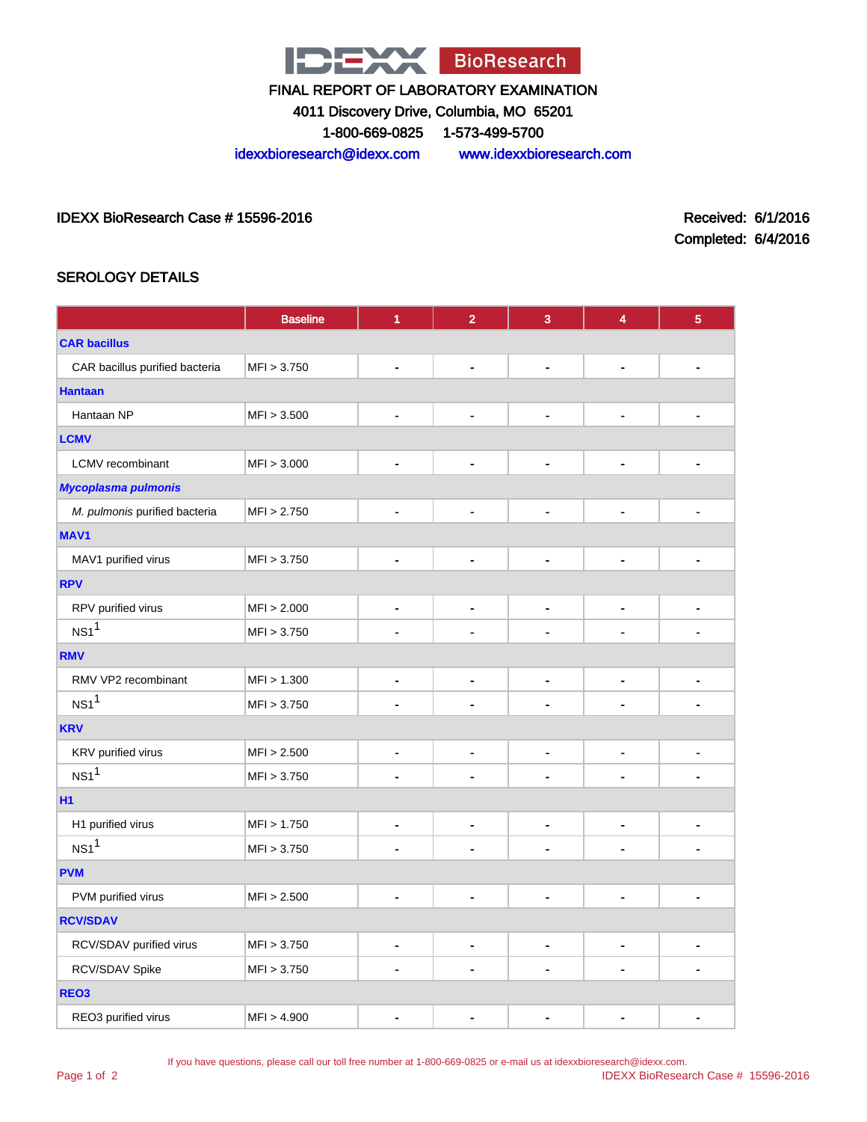

4011 Discovery Drive, Columbia, MO 65201

1-800-669-0825 1-573-499-5700

idexxbioresearch@idexx.com www.idexxbioresearch.com

IDEXX BioResearch Case # 15596-2016 Received: 6/1/2016

Completed: 6/4/2016

## SEROLOGY DETAILS

|                                | <b>Baseline</b> | 1                            | $\overline{2}$               | 3                        | 4                            | $\overline{5}$               |  |
|--------------------------------|-----------------|------------------------------|------------------------------|--------------------------|------------------------------|------------------------------|--|
| <b>CAR bacillus</b>            |                 |                              |                              |                          |                              |                              |  |
| CAR bacillus purified bacteria | MFI > 3.750     | $\blacksquare$               | ٠                            | $\overline{a}$           | $\overline{\phantom{0}}$     | ٠                            |  |
| <b>Hantaan</b>                 |                 |                              |                              |                          |                              |                              |  |
| Hantaan NP                     | MFI > 3.500     | $\blacksquare$               | ä,                           | $\blacksquare$           | $\blacksquare$               | $\blacksquare$               |  |
| <b>LCMV</b>                    |                 |                              |                              |                          |                              |                              |  |
| LCMV recombinant               | MFI > 3.000     | $\overline{\phantom{a}}$     | $\blacksquare$               | ٠                        | $\overline{\phantom{0}}$     | $\blacksquare$               |  |
| <b>Mycoplasma pulmonis</b>     |                 |                              |                              |                          |                              |                              |  |
| M. pulmonis purified bacteria  | MFI > 2.750     | $\blacksquare$               | $\blacksquare$               | ٠                        | ٠                            | $\blacksquare$               |  |
| MAV1                           |                 |                              |                              |                          |                              |                              |  |
| MAV1 purified virus            | MFI > 3.750     | $\ddot{\phantom{1}}$         | ä,                           | $\blacksquare$           | ÷,                           | $\blacksquare$               |  |
| <b>RPV</b>                     |                 |                              |                              |                          |                              |                              |  |
| RPV purified virus             | MFI > 2.000     | $\qquad \qquad \blacksquare$ | $\qquad \qquad \blacksquare$ | $\overline{\phantom{0}}$ | -                            | $\blacksquare$               |  |
| NS1 <sup>1</sup>               | MFI > 3.750     | $\blacksquare$               |                              | $\blacksquare$           | Ĭ.                           | $\blacksquare$               |  |
| <b>RMV</b>                     |                 |                              |                              |                          |                              |                              |  |
| RMV VP2 recombinant            | MFI > 1.300     | $\qquad \qquad \blacksquare$ | $\qquad \qquad \blacksquare$ | $\overline{\phantom{a}}$ | $\overline{\phantom{0}}$     | $\blacksquare$               |  |
| NS1 <sup>1</sup>               | MFI > 3.750     | $\blacksquare$               |                              |                          |                              | $\blacksquare$               |  |
| <b>KRV</b>                     |                 |                              |                              |                          |                              |                              |  |
| KRV purified virus             | MFI > 2.500     | $\qquad \qquad \blacksquare$ | $\qquad \qquad \blacksquare$ | $\overline{\phantom{0}}$ | $\qquad \qquad \blacksquare$ | $\qquad \qquad \blacksquare$ |  |
| NS1 <sup>1</sup>               | MFI > 3.750     | $\blacksquare$               |                              |                          |                              | $\blacksquare$               |  |
| <b>H1</b>                      |                 |                              |                              |                          |                              |                              |  |
| H1 purified virus              | MFI > 1.750     | $\blacksquare$               | ä,                           | ÷,                       | $\overline{\phantom{0}}$     | $\blacksquare$               |  |
| NS1 <sup>1</sup>               | MFI > 3.750     | $\blacksquare$               |                              | $\blacksquare$           | Ĭ.                           | $\blacksquare$               |  |
| <b>PVM</b>                     |                 |                              |                              |                          |                              |                              |  |
| PVM purified virus             | MFI > 2.500     | $\blacksquare$               | ä,                           | ٠                        | L,                           | $\blacksquare$               |  |
| <b>RCV/SDAV</b>                |                 |                              |                              |                          |                              |                              |  |
| RCV/SDAV purified virus        | MFI > 3.750     | $\qquad \qquad \blacksquare$ | ٠                            | ٠                        | $\overline{\phantom{0}}$     | -                            |  |
| RCV/SDAV Spike                 | MFI > 3.750     | $\blacksquare$               |                              | $\blacksquare$           |                              | $\blacksquare$               |  |
| REO <sub>3</sub>               |                 |                              |                              |                          |                              |                              |  |
| REO3 purified virus            | MFI > 4.900     | $\blacksquare$               |                              |                          |                              | $\blacksquare$               |  |

If you have questions, please call our toll free number at 1-800-669-0825 or e-mail us at idexxbioresearch@idexx.com.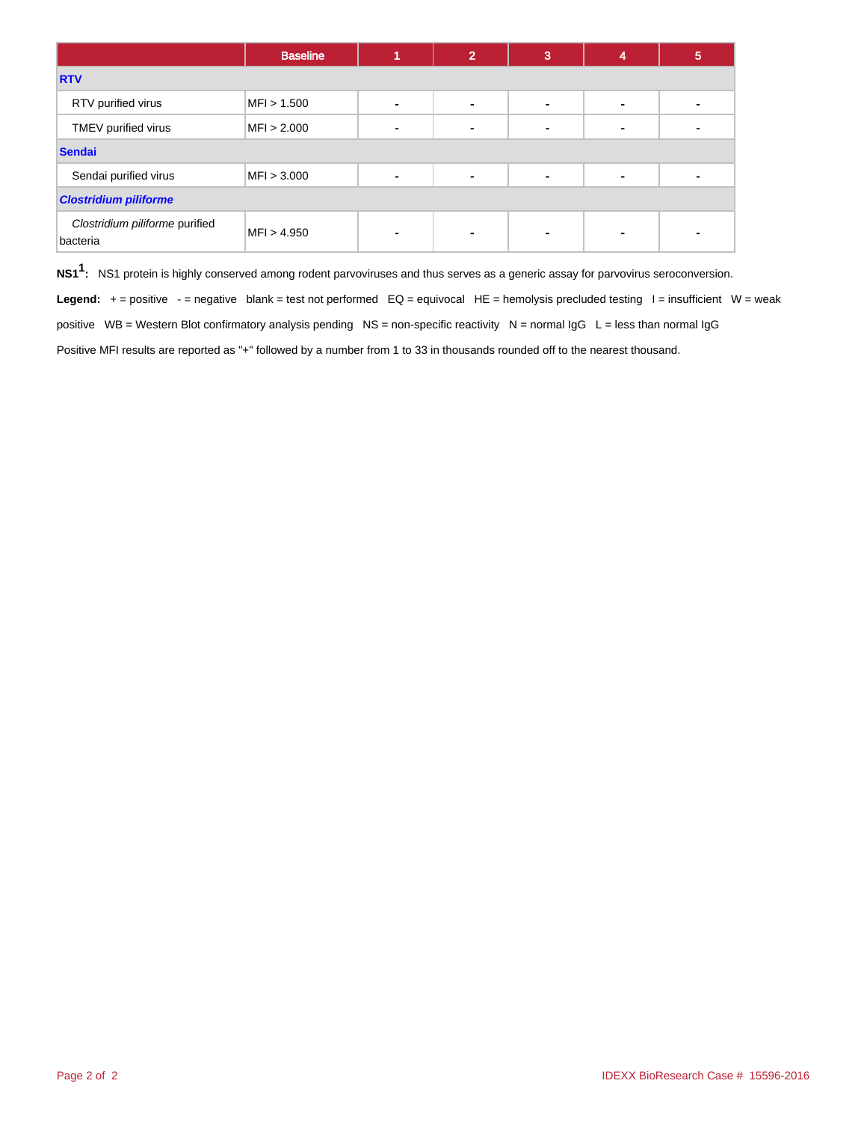|                                            | <b>Baseline</b> |                | 2 | 3 | 4              | 5 |
|--------------------------------------------|-----------------|----------------|---|---|----------------|---|
| <b>RTV</b>                                 |                 |                |   |   |                |   |
| RTV purified virus                         | MFI > 1.500     | ۰              |   | - | $\blacksquare$ |   |
| TMEV purified virus                        | MFI > 2.000     | ٠              |   |   | $\blacksquare$ |   |
| <b>Sendai</b>                              |                 |                |   |   |                |   |
| Sendai purified virus                      | MFI > 3.000     | $\blacksquare$ |   | ٠ | ٠              |   |
| <b>Clostridium piliforme</b>               |                 |                |   |   |                |   |
| Clostridium piliforme purified<br>bacteria | MFI > 4.950     | ٠              |   |   | $\blacksquare$ |   |

**NS11 :** NS1 protein is highly conserved among rodent parvoviruses and thus serves as a generic assay for parvovirus seroconversion.

Legend: + = positive - = negative blank = test not performed EQ = equivocal HE = hemolysis precluded testing I = insufficient W = weak positive WB = Western Blot confirmatory analysis pending NS = non-specific reactivity N = normal IgG L = less than normal IgG Positive MFI results are reported as "+" followed by a number from 1 to 33 in thousands rounded off to the nearest thousand.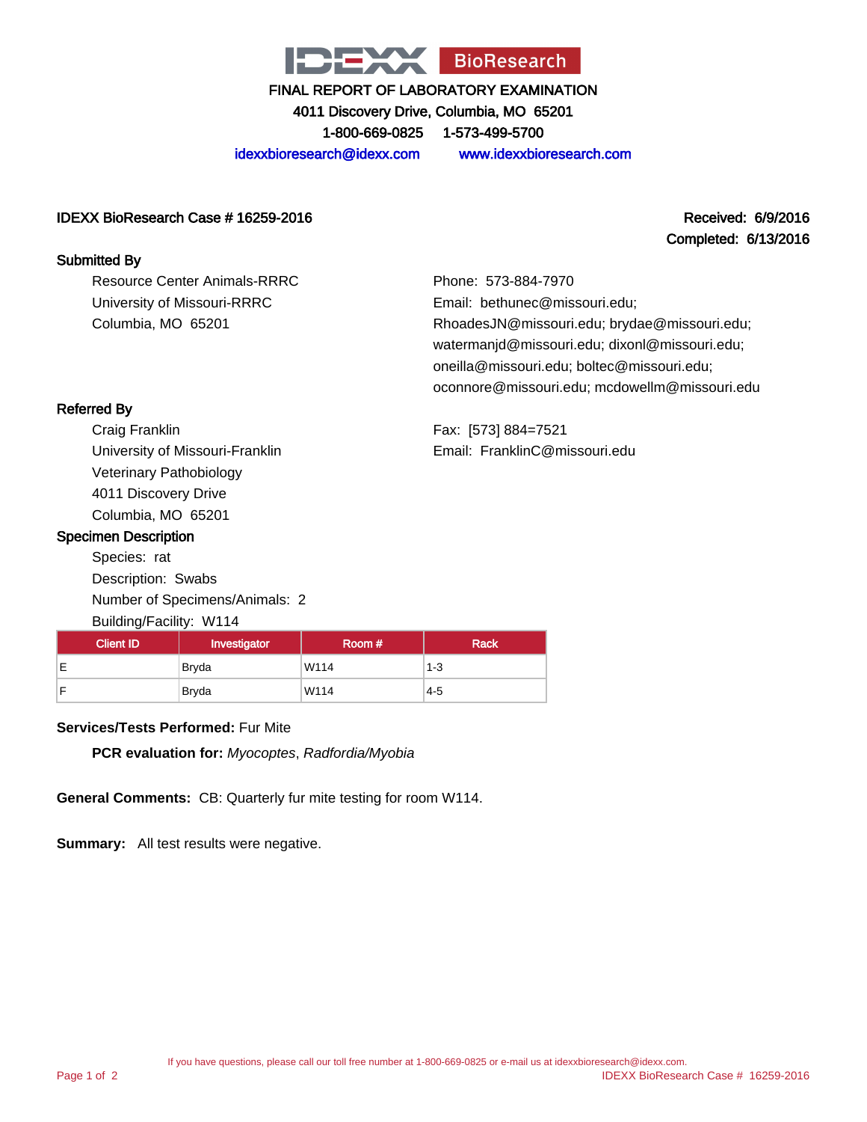

4011 Discovery Drive, Columbia, MO 65201

1-800-669-0825 1-573-499-5700

idexxbioresearch@idexx.com www.idexxbioresearch.com

#### IDEXX BioResearch Case # 16259-2016 Received: 6/9/2016

# Completed: 6/13/2016

#### Submitted By

Resource Center Animals-RRRC University of Missouri-RRRC Columbia, MO 65201

Phone: 573-884-7970 Email: bethunec@missouri.edu; RhoadesJN@missouri.edu; brydae@missouri.edu; watermanjd@missouri.edu; dixonl@missouri.edu; oneilla@missouri.edu; boltec@missouri.edu; oconnore@missouri.edu; mcdowellm@missouri.edu

Fax: [573] 884=7521 Email: FranklinC@missouri.edu

## Referred By

Craig Franklin University of Missouri-Franklin Veterinary Pathobiology 4011 Discovery Drive Columbia, MO 65201

#### Specimen Description

Species: rat Description: Swabs Number of Specimens/Animals: 2 Building/Facility: W114

| <b>Client ID</b> | Investigator | Room# | <b>Rack</b> |
|------------------|--------------|-------|-------------|
| -                | Bryda        | W114  | $1 - 3$     |
|                  | Bryda        | W114  | $4 - 5$     |

## **Services/Tests Performed:** Fur Mite

**PCR evaluation for:** Myocoptes, Radfordia/Myobia

**General Comments:** CB: Quarterly fur mite testing for room W114.

**Summary:** All test results were negative.